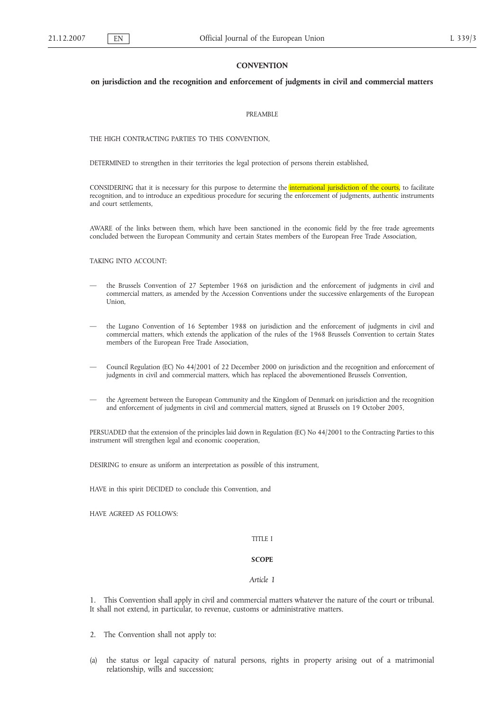# **CONVENTION**

### **on jurisdiction and the recognition and enforcement of judgments in civil and commercial matters**

#### PREAMBLE

THE HIGH CONTRACTING PARTIES TO THIS CONVENTION,

DETERMINED to strengthen in their territories the legal protection of persons therein established,

CONSIDERING that it is necessary for this purpose to determine the *international jurisdiction of the courts*, to facilitate recognition, and to introduce an expeditious procedure for securing the enforcement of judgments, authentic instruments and court settlements,

AWARE of the links between them, which have been sanctioned in the economic field by the free trade agreements concluded between the European Community and certain States members of the European Free Trade Association,

TAKING INTO ACCOUNT:

- the Brussels Convention of 27 September 1968 on jurisdiction and the enforcement of judgments in civil and commercial matters, as amended by the Accession Conventions under the successive enlargements of the European Union,
- the Lugano Convention of 16 September 1988 on jurisdiction and the enforcement of judgments in civil and commercial matters, which extends the application of the rules of the 1968 Brussels Convention to certain States members of the European Free Trade Association,
- Council Regulation (EC) No 44/2001 of 22 December 2000 on jurisdiction and the recognition and enforcement of judgments in civil and commercial matters, which has replaced the abovementioned Brussels Convention,
- the Agreement between the European Community and the Kingdom of Denmark on jurisdiction and the recognition and enforcement of judgments in civil and commercial matters, signed at Brussels on 19 October 2005,

PERSUADED that the extension of the principles laid down in Regulation (EC) No 44/2001 to the Contracting Parties to this instrument will strengthen legal and economic cooperation,

DESIRING to ensure as uniform an interpretation as possible of this instrument,

HAVE in this spirit DECIDED to conclude this Convention, and

HAVE AGREED AS FOLLOWS:

### TITLE I

# **SCOPE**

# *Article 1*

1. This Convention shall apply in civil and commercial matters whatever the nature of the court or tribunal. It shall not extend, in particular, to revenue, customs or administrative matters.

- 2. The Convention shall not apply to:
- (a) the status or legal capacity of natural persons, rights in property arising out of a matrimonial relationship, wills and succession;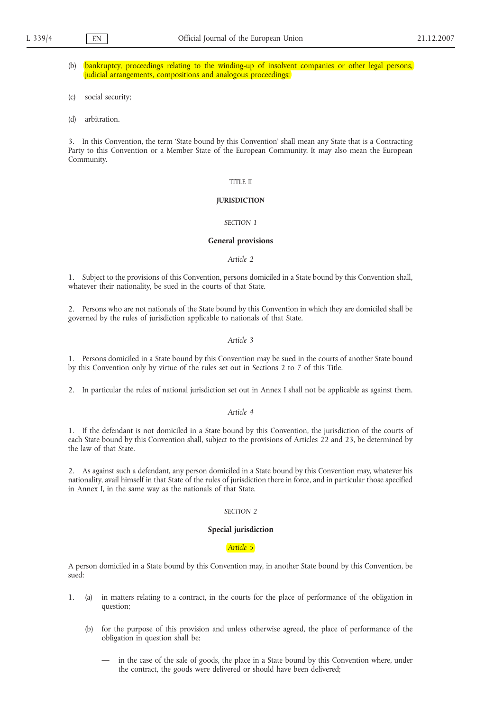(b) bankruptcy, proceedings relating to the winding-up of insolvent companies or other legal persons, judicial arrangements, compositions and analogous proceedings;

(c) social security;

(d) arbitration.

3. In this Convention, the term 'State bound by this Convention' shall mean any State that is a Contracting Party to this Convention or a Member State of the European Community. It may also mean the European Community.

### TITLE II

### **JURISDICTION**

# *SECTION 1*

#### **General provisions**

*Article 2*

1. Subject to the provisions of this Convention, persons domiciled in a State bound by this Convention shall, whatever their nationality, be sued in the courts of that State.

2. Persons who are not nationals of the State bound by this Convention in which they are domiciled shall be governed by the rules of jurisdiction applicable to nationals of that State.

### *Article 3*

1. Persons domiciled in a State bound by this Convention may be sued in the courts of another State bound by this Convention only by virtue of the rules set out in Sections 2 to 7 of this Title.

2. In particular the rules of national jurisdiction set out in Annex I shall not be applicable as against them.

# *Article 4*

1. If the defendant is not domiciled in a State bound by this Convention, the jurisdiction of the courts of each State bound by this Convention shall, subject to the provisions of Articles 22 and 23, be determined by the law of that State.

2. As against such a defendant, any person domiciled in a State bound by this Convention may, whatever his nationality, avail himself in that State of the rules of jurisdiction there in force, and in particular those specified in Annex I, in the same way as the nationals of that State.

### *SECTION 2*

#### **Special jurisdiction**

# *Article 5*

A person domiciled in a State bound by this Convention may, in another State bound by this Convention, be sued:

- 1. (a) in matters relating to a contract, in the courts for the place of performance of the obligation in question;
	- (b) for the purpose of this provision and unless otherwise agreed, the place of performance of the obligation in question shall be:
		- in the case of the sale of goods, the place in a State bound by this Convention where, under the contract, the goods were delivered or should have been delivered;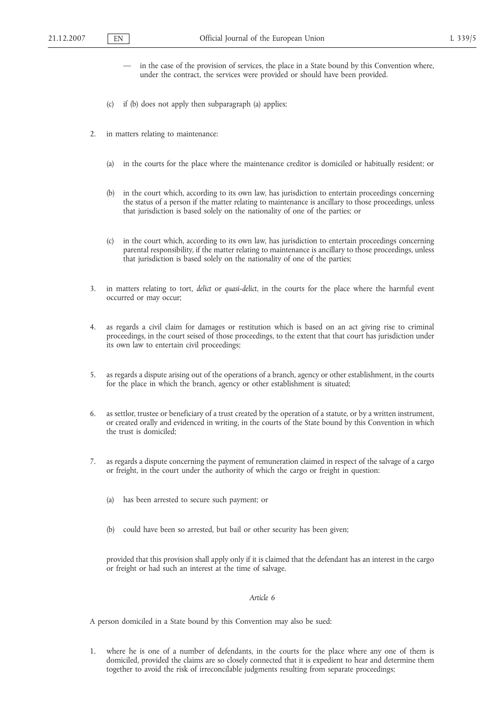- in the case of the provision of services, the place in a State bound by this Convention where, under the contract, the services were provided or should have been provided.
- (c) if (b) does not apply then subparagraph (a) applies;
- 2. in matters relating to maintenance:
	- (a) in the courts for the place where the maintenance creditor is domiciled or habitually resident; or
	- (b) in the court which, according to its own law, has jurisdiction to entertain proceedings concerning the status of a person if the matter relating to maintenance is ancillary to those proceedings, unless that jurisdiction is based solely on the nationality of one of the parties; or
	- (c) in the court which, according to its own law, has jurisdiction to entertain proceedings concerning parental responsibility, if the matter relating to maintenance is ancillary to those proceedings, unless that jurisdiction is based solely on the nationality of one of the parties;
- 3. in matters relating to tort, *delict* or *quasi-delict*, in the courts for the place where the harmful event occurred or may occur;
- 4. as regards a civil claim for damages or restitution which is based on an act giving rise to criminal proceedings, in the court seised of those proceedings, to the extent that that court has jurisdiction under its own law to entertain civil proceedings;
- 5. as regards a dispute arising out of the operations of a branch, agency or other establishment, in the courts for the place in which the branch, agency or other establishment is situated;
- 6. as settlor, trustee or beneficiary of a trust created by the operation of a statute, or by a written instrument, or created orally and evidenced in writing, in the courts of the State bound by this Convention in which the trust is domiciled;
- 7. as regards a dispute concerning the payment of remuneration claimed in respect of the salvage of a cargo or freight, in the court under the authority of which the cargo or freight in question:
	- (a) has been arrested to secure such payment; or
	- (b) could have been so arrested, but bail or other security has been given;

provided that this provision shall apply only if it is claimed that the defendant has an interest in the cargo or freight or had such an interest at the time of salvage.

#### *Article 6*

A person domiciled in a State bound by this Convention may also be sued:

1. where he is one of a number of defendants, in the courts for the place where any one of them is domiciled, provided the claims are so closely connected that it is expedient to hear and determine them together to avoid the risk of irreconcilable judgments resulting from separate proceedings;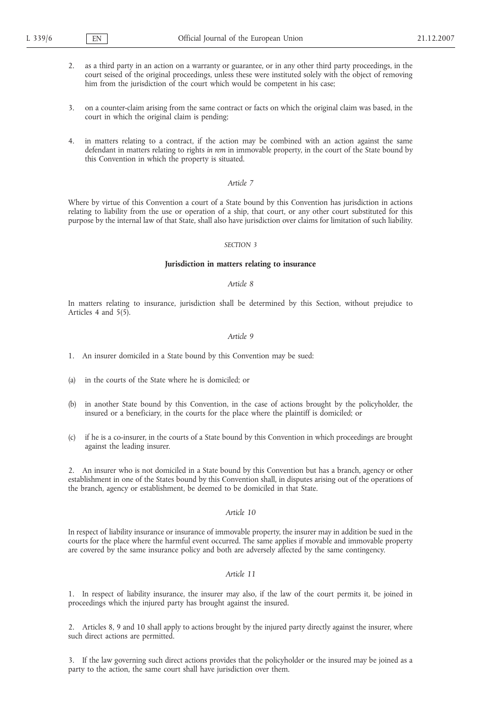- 2. as a third party in an action on a warranty or guarantee, or in any other third party proceedings, in the court seised of the original proceedings, unless these were instituted solely with the object of removing him from the jurisdiction of the court which would be competent in his case;
- 3. on a counter-claim arising from the same contract or facts on which the original claim was based, in the court in which the original claim is pending;
- 4. in matters relating to a contract, if the action may be combined with an action against the same defendant in matters relating to rights *in rem* in immovable property, in the court of the State bound by this Convention in which the property is situated.

Where by virtue of this Convention a court of a State bound by this Convention has jurisdiction in actions relating to liability from the use or operation of a ship, that court, or any other court substituted for this purpose by the internal law of that State, shall also have jurisdiction over claims for limitation of such liability.

# *SECTION 3*

#### **Jurisdiction in matters relating to insurance**

### *Article 8*

In matters relating to insurance, jurisdiction shall be determined by this Section, without prejudice to Articles 4 and 5(5).

# *Article 9*

1. An insurer domiciled in a State bound by this Convention may be sued:

- (a) in the courts of the State where he is domiciled; or
- (b) in another State bound by this Convention, in the case of actions brought by the policyholder, the insured or a beneficiary, in the courts for the place where the plaintiff is domiciled; or
- (c) if he is a co-insurer, in the courts of a State bound by this Convention in which proceedings are brought against the leading insurer.

2. An insurer who is not domiciled in a State bound by this Convention but has a branch, agency or other establishment in one of the States bound by this Convention shall, in disputes arising out of the operations of the branch, agency or establishment, be deemed to be domiciled in that State.

### *Article 10*

In respect of liability insurance or insurance of immovable property, the insurer may in addition be sued in the courts for the place where the harmful event occurred. The same applies if movable and immovable property are covered by the same insurance policy and both are adversely affected by the same contingency.

#### *Article 11*

1. In respect of liability insurance, the insurer may also, if the law of the court permits it, be joined in proceedings which the injured party has brought against the insured.

2. Articles 8, 9 and 10 shall apply to actions brought by the injured party directly against the insurer, where such direct actions are permitted.

3. If the law governing such direct actions provides that the policyholder or the insured may be joined as a party to the action, the same court shall have jurisdiction over them.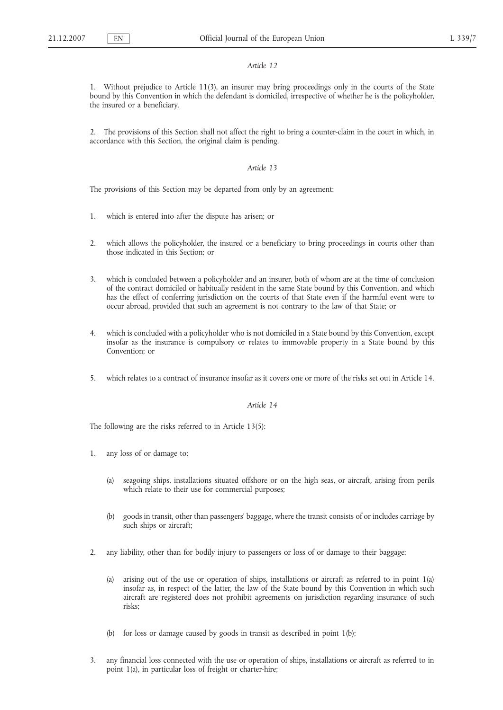1. Without prejudice to Article 11(3), an insurer may bring proceedings only in the courts of the State bound by this Convention in which the defendant is domiciled, irrespective of whether he is the policyholder, the insured or a beneficiary.

2. The provisions of this Section shall not affect the right to bring a counter-claim in the court in which, in accordance with this Section, the original claim is pending.

# *Article 13*

The provisions of this Section may be departed from only by an agreement:

- 1. which is entered into after the dispute has arisen; or
- 2. which allows the policyholder, the insured or a beneficiary to bring proceedings in courts other than those indicated in this Section; or
- 3. which is concluded between a policyholder and an insurer, both of whom are at the time of conclusion of the contract domiciled or habitually resident in the same State bound by this Convention, and which has the effect of conferring jurisdiction on the courts of that State even if the harmful event were to occur abroad, provided that such an agreement is not contrary to the law of that State; or
- 4. which is concluded with a policyholder who is not domiciled in a State bound by this Convention, except insofar as the insurance is compulsory or relates to immovable property in a State bound by this Convention; or
- 5. which relates to a contract of insurance insofar as it covers one or more of the risks set out in Article 14.

# *Article 14*

The following are the risks referred to in Article 13(5):

- 1. any loss of or damage to:
	- (a) seagoing ships, installations situated offshore or on the high seas, or aircraft, arising from perils which relate to their use for commercial purposes;
	- (b) goods in transit, other than passengers' baggage, where the transit consists of or includes carriage by such ships or aircraft;
- 2. any liability, other than for bodily injury to passengers or loss of or damage to their baggage:
	- (a) arising out of the use or operation of ships, installations or aircraft as referred to in point 1(a) insofar as, in respect of the latter, the law of the State bound by this Convention in which such aircraft are registered does not prohibit agreements on jurisdiction regarding insurance of such risks;
	- (b) for loss or damage caused by goods in transit as described in point 1(b);
- 3. any financial loss connected with the use or operation of ships, installations or aircraft as referred to in point 1(a), in particular loss of freight or charter-hire;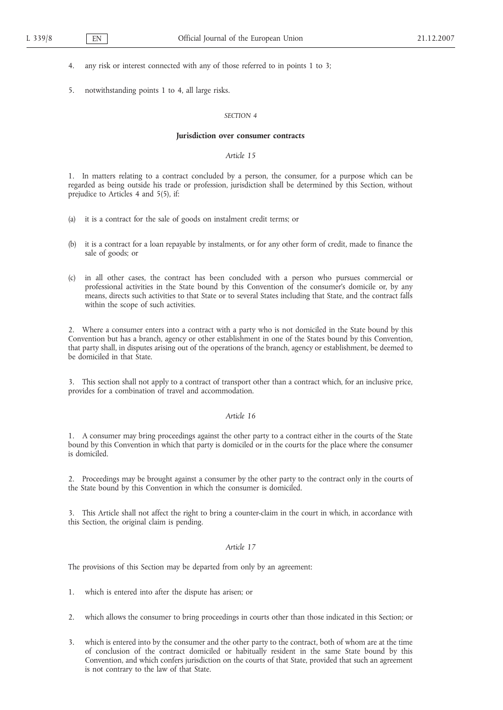4. any risk or interest connected with any of those referred to in points 1 to 3;

5. notwithstanding points 1 to 4, all large risks.

### *SECTION 4*

# **Jurisdiction over consumer contracts**

# *Article 15*

1. In matters relating to a contract concluded by a person, the consumer, for a purpose which can be regarded as being outside his trade or profession, jurisdiction shall be determined by this Section, without prejudice to Articles 4 and 5(5), if:

- (a) it is a contract for the sale of goods on instalment credit terms; or
- (b) it is a contract for a loan repayable by instalments, or for any other form of credit, made to finance the sale of goods; or
- (c) in all other cases, the contract has been concluded with a person who pursues commercial or professional activities in the State bound by this Convention of the consumer's domicile or, by any means, directs such activities to that State or to several States including that State, and the contract falls within the scope of such activities.

2. Where a consumer enters into a contract with a party who is not domiciled in the State bound by this Convention but has a branch, agency or other establishment in one of the States bound by this Convention, that party shall, in disputes arising out of the operations of the branch, agency or establishment, be deemed to be domiciled in that State.

3. This section shall not apply to a contract of transport other than a contract which, for an inclusive price, provides for a combination of travel and accommodation.

# *Article 16*

1. A consumer may bring proceedings against the other party to a contract either in the courts of the State bound by this Convention in which that party is domiciled or in the courts for the place where the consumer is domiciled.

2. Proceedings may be brought against a consumer by the other party to the contract only in the courts of the State bound by this Convention in which the consumer is domiciled.

3. This Article shall not affect the right to bring a counter-claim in the court in which, in accordance with this Section, the original claim is pending.

### *Article 17*

The provisions of this Section may be departed from only by an agreement:

- 1. which is entered into after the dispute has arisen; or
- 2. which allows the consumer to bring proceedings in courts other than those indicated in this Section; or
- 3. which is entered into by the consumer and the other party to the contract, both of whom are at the time of conclusion of the contract domiciled or habitually resident in the same State bound by this Convention, and which confers jurisdiction on the courts of that State, provided that such an agreement is not contrary to the law of that State.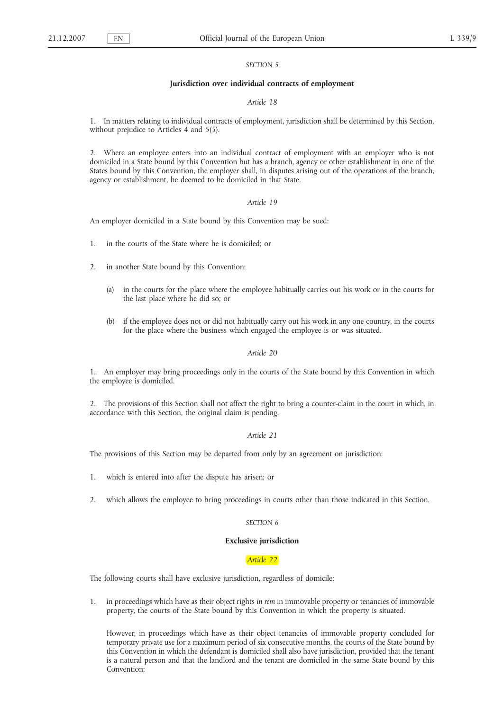#### *SECTION 5*

### **Jurisdiction over individual contracts of employment**

# *Article 18*

1. In matters relating to individual contracts of employment, jurisdiction shall be determined by this Section, without prejudice to Articles 4 and 5(5).

2. Where an employee enters into an individual contract of employment with an employer who is not domiciled in a State bound by this Convention but has a branch, agency or other establishment in one of the States bound by this Convention, the employer shall, in disputes arising out of the operations of the branch, agency or establishment, be deemed to be domiciled in that State.

# *Article 19*

An employer domiciled in a State bound by this Convention may be sued:

- 1. in the courts of the State where he is domiciled; or
- 2. in another State bound by this Convention:
	- (a) in the courts for the place where the employee habitually carries out his work or in the courts for the last place where he did so; or
	- (b) if the employee does not or did not habitually carry out his work in any one country, in the courts for the place where the business which engaged the employee is or was situated.

### *Article 20*

1. An employer may bring proceedings only in the courts of the State bound by this Convention in which the employee is domiciled.

2. The provisions of this Section shall not affect the right to bring a counter-claim in the court in which, in accordance with this Section, the original claim is pending.

# *Article 21*

The provisions of this Section may be departed from only by an agreement on jurisdiction:

- 1. which is entered into after the dispute has arisen; or
- 2. which allows the employee to bring proceedings in courts other than those indicated in this Section.

# *SECTION 6*

#### **Exclusive jurisdiction**

### *Article 22*

The following courts shall have exclusive jurisdiction, regardless of domicile:

1. in proceedings which have as their object rights *in rem* in immovable property or tenancies of immovable property, the courts of the State bound by this Convention in which the property is situated.

However, in proceedings which have as their object tenancies of immovable property concluded for temporary private use for a maximum period of six consecutive months, the courts of the State bound by this Convention in which the defendant is domiciled shall also have jurisdiction, provided that the tenant is a natural person and that the landlord and the tenant are domiciled in the same State bound by this Convention;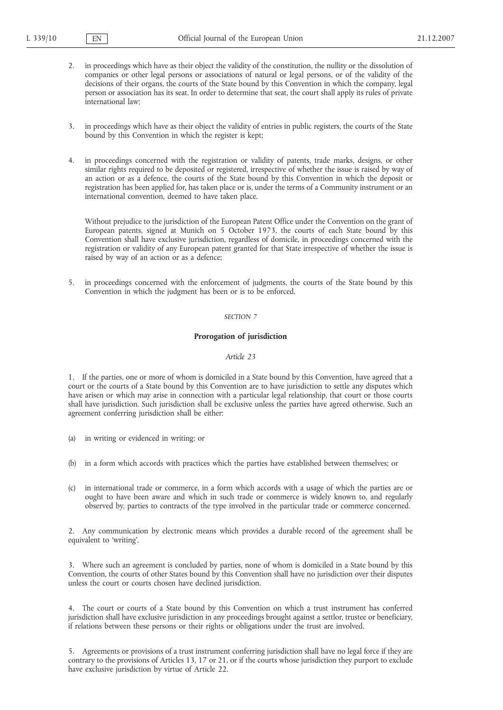- 2. in proceedings which have as their object the validity of the constitution, the nullity or the dissolution of companies or other legal persons or associations of natural or legal persons, or of the validity of the decisions of their organs, the courts of the State bound by this Convention in which the company, legal person or association has its seat. In order to determine that seat, the court shall apply its rules of private international law;
- 3. in proceedings which have as their object the validity of entries in public registers, the courts of the State bound by this Convention in which the register is kept;
- 4. in proceedings concerned with the registration or validity of patents, trade marks, designs, or other similar rights required to be deposited or registered, irrespective of whether the issue is raised by way of an action or as a defence, the courts of the State bound by this Convention in which the deposit or registration has been applied for, has taken place or is, under the terms of a Community instrument or an international convention, deemed to have taken place.

Without prejudice to the jurisdiction of the European Patent Office under the Convention on the grant of European patents, signed at Munich on 5 October 1973, the courts of each State bound by this Convention shall have exclusive jurisdiction, regardless of domicile, in proceedings concerned with the registration or validity of any European patent granted for that State irrespective of whether the issue is raised by way of an action or as a defence;

5. in proceedings concerned with the enforcement of judgments, the courts of the State bound by this Convention in which the judgment has been or is to be enforced.

### *SECTION 7*

### **Prorogation of jurisdiction**

# *Article 23*

1. If the parties, one or more of whom is domiciled in a State bound by this Convention, have agreed that a court or the courts of a State bound by this Convention are to have jurisdiction to settle any disputes which have arisen or which may arise in connection with a particular legal relationship, that court or those courts shall have jurisdiction. Such jurisdiction shall be exclusive unless the parties have agreed otherwise. Such an agreement conferring jurisdiction shall be either:

- (a) in writing or evidenced in writing; or
- (b) in a form which accords with practices which the parties have established between themselves; or
- (c) in international trade or commerce, in a form which accords with a usage of which the parties are or ought to have been aware and which in such trade or commerce is widely known to, and regularly observed by, parties to contracts of the type involved in the particular trade or commerce concerned.

2. Any communication by electronic means which provides a durable record of the agreement shall be equivalent to 'writing'.

3. Where such an agreement is concluded by parties, none of whom is domiciled in a State bound by this Convention, the courts of other States bound by this Convention shall have no jurisdiction over their disputes unless the court or courts chosen have declined jurisdiction.

4. The court or courts of a State bound by this Convention on which a trust instrument has conferred jurisdiction shall have exclusive jurisdiction in any proceedings brought against a settlor, trustee or beneficiary, if relations between these persons or their rights or obligations under the trust are involved.

5. Agreements or provisions of a trust instrument conferring jurisdiction shall have no legal force if they are contrary to the provisions of Articles 13, 17 or 21, or if the courts whose jurisdiction they purport to exclude have exclusive jurisdiction by virtue of Article 22.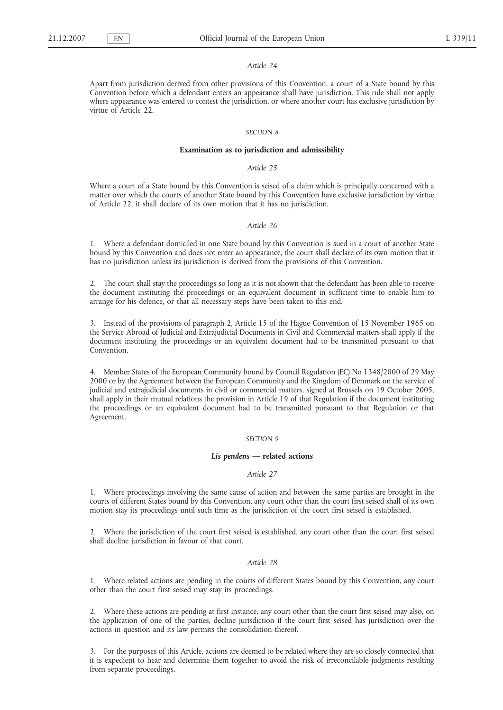Apart from jurisdiction derived from other provisions of this Convention, a court of a State bound by this Convention before which a defendant enters an appearance shall have jurisdiction. This rule shall not apply where appearance was entered to contest the jurisdiction, or where another court has exclusive jurisdiction by virtue of Article 22.

### *SECTION 8*

#### **Examination as to jurisdiction and admissibility**

# *Article 25*

Where a court of a State bound by this Convention is seised of a claim which is principally concerned with a matter over which the courts of another State bound by this Convention have exclusive jurisdiction by virtue of Article 22, it shall declare of its own motion that it has no jurisdiction.

# *Article 26*

1. Where a defendant domiciled in one State bound by this Convention is sued in a court of another State bound by this Convention and does not enter an appearance, the court shall declare of its own motion that it has no jurisdiction unless its jurisdiction is derived from the provisions of this Convention.

2. The court shall stay the proceedings so long as it is not shown that the defendant has been able to receive the document instituting the proceedings or an equivalent document in sufficient time to enable him to arrange for his defence, or that all necessary steps have been taken to this end.

3. Instead of the provisions of paragraph 2, Article 15 of the Hague Convention of 15 November 1965 on the Service Abroad of Judicial and Extrajudicial Documents in Civil and Commercial matters shall apply if the document instituting the proceedings or an equivalent document had to be transmitted pursuant to that Convention.

4. Member States of the European Community bound by Council Regulation (EC) No 1348/2000 of 29 May 2000 or by the Agreement between the European Community and the Kingdom of Denmark on the service of judicial and extrajudicial documents in civil or commercial matters, signed at Brussels on 19 October 2005, shall apply in their mutual relations the provision in Article 19 of that Regulation if the document instituting the proceedings or an equivalent document had to be transmitted pursuant to that Regulation or that Agreement.

### *SECTION 9*

### *Lis pendens* **— related actions**

# *Article 27*

1. Where proceedings involving the same cause of action and between the same parties are brought in the courts of different States bound by this Convention, any court other than the court first seised shall of its own motion stay its proceedings until such time as the jurisdiction of the court first seised is established.

2. Where the jurisdiction of the court first seised is established, any court other than the court first seised shall decline jurisdiction in favour of that court.

#### *Article 28*

1. Where related actions are pending in the courts of different States bound by this Convention, any court other than the court first seised may stay its proceedings.

2. Where these actions are pending at first instance, any court other than the court first seised may also, on the application of one of the parties, decline jurisdiction if the court first seised has jurisdiction over the actions in question and its law permits the consolidation thereof.

3. For the purposes of this Article, actions are deemed to be related where they are so closely connected that it is expedient to hear and determine them together to avoid the risk of irreconcilable judgments resulting from separate proceedings.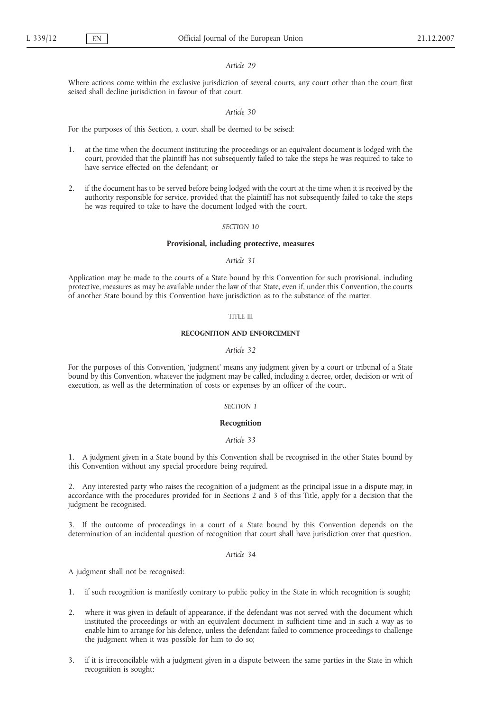Where actions come within the exclusive jurisdiction of several courts, any court other than the court first seised shall decline jurisdiction in favour of that court.

### *Article 30*

For the purposes of this Section, a court shall be deemed to be seised:

- 1. at the time when the document instituting the proceedings or an equivalent document is lodged with the court, provided that the plaintiff has not subsequently failed to take the steps he was required to take to have service effected on the defendant; or
- 2. if the document has to be served before being lodged with the court at the time when it is received by the authority responsible for service, provided that the plaintiff has not subsequently failed to take the steps he was required to take to have the document lodged with the court.

### *SECTION 10*

### **Provisional, including protective, measures**

*Article 31*

Application may be made to the courts of a State bound by this Convention for such provisional, including protective, measures as may be available under the law of that State, even if, under this Convention, the courts of another State bound by this Convention have jurisdiction as to the substance of the matter.

#### TITLE III

#### **RECOGNITION AND ENFORCEMENT**

*Article 32*

For the purposes of this Convention, 'judgment' means any judgment given by a court or tribunal of a State bound by this Convention, whatever the judgment may be called, including a decree, order, decision or writ of execution, as well as the determination of costs or expenses by an officer of the court.

#### *SECTION 1*

#### **Recognition**

### *Article 33*

1. A judgment given in a State bound by this Convention shall be recognised in the other States bound by this Convention without any special procedure being required.

2. Any interested party who raises the recognition of a judgment as the principal issue in a dispute may, in accordance with the procedures provided for in Sections 2 and 3 of this Title, apply for a decision that the judgment be recognised.

3. If the outcome of proceedings in a court of a State bound by this Convention depends on the determination of an incidental question of recognition that court shall have jurisdiction over that question.

### *Article 34*

A judgment shall not be recognised:

- 1. if such recognition is manifestly contrary to public policy in the State in which recognition is sought;
- 2. where it was given in default of appearance, if the defendant was not served with the document which instituted the proceedings or with an equivalent document in sufficient time and in such a way as to enable him to arrange for his defence, unless the defendant failed to commence proceedings to challenge the judgment when it was possible for him to do so;
- 3. if it is irreconcilable with a judgment given in a dispute between the same parties in the State in which recognition is sought;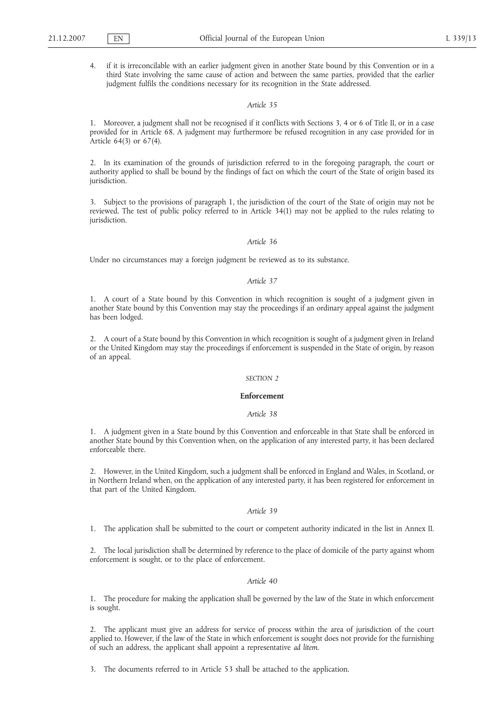if it is irreconcilable with an earlier judgment given in another State bound by this Convention or in a third State involving the same cause of action and between the same parties, provided that the earlier judgment fulfils the conditions necessary for its recognition in the State addressed.

# *Article 35*

1. Moreover, a judgment shall not be recognised if it conflicts with Sections 3, 4 or 6 of Title II, or in a case provided for in Article 68. A judgment may furthermore be refused recognition in any case provided for in Article 64(3) or 67(4).

2. In its examination of the grounds of jurisdiction referred to in the foregoing paragraph, the court or authority applied to shall be bound by the findings of fact on which the court of the State of origin based its jurisdiction.

3. Subject to the provisions of paragraph 1, the jurisdiction of the court of the State of origin may not be reviewed. The test of public policy referred to in Article 34(1) may not be applied to the rules relating to jurisdiction.

# *Article 36*

Under no circumstances may a foreign judgment be reviewed as to its substance.

# *Article 37*

1. A court of a State bound by this Convention in which recognition is sought of a judgment given in another State bound by this Convention may stay the proceedings if an ordinary appeal against the judgment has been lodged.

2. A court of a State bound by this Convention in which recognition is sought of a judgment given in Ireland or the United Kingdom may stay the proceedings if enforcement is suspended in the State of origin, by reason of an appeal.

# *SECTION 2*

### **Enforcement**

## *Article 38*

1. A judgment given in a State bound by this Convention and enforceable in that State shall be enforced in another State bound by this Convention when, on the application of any interested party, it has been declared enforceable there.

2. However, in the United Kingdom, such a judgment shall be enforced in England and Wales, in Scotland, or in Northern Ireland when, on the application of any interested party, it has been registered for enforcement in that part of the United Kingdom.

#### *Article 39*

1. The application shall be submitted to the court or competent authority indicated in the list in Annex II.

2. The local jurisdiction shall be determined by reference to the place of domicile of the party against whom enforcement is sought, or to the place of enforcement.

### *Article 40*

1. The procedure for making the application shall be governed by the law of the State in which enforcement is sought.

2. The applicant must give an address for service of process within the area of jurisdiction of the court applied to. However, if the law of the State in which enforcement is sought does not provide for the furnishing of such an address, the applicant shall appoint a representative *ad litem.*

3. The documents referred to in Article 53 shall be attached to the application.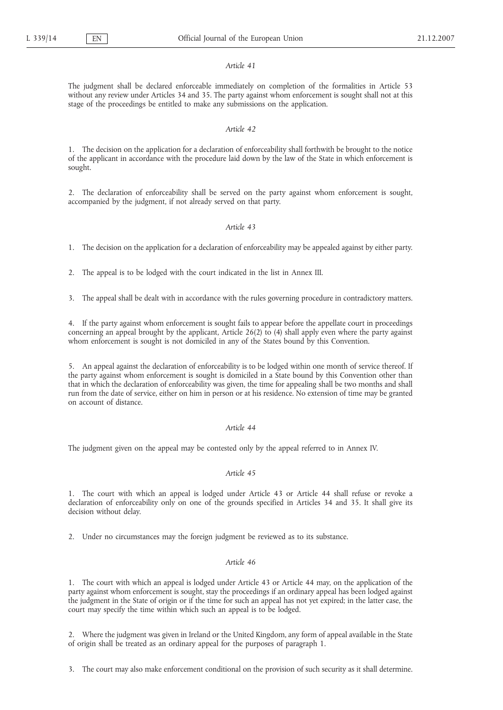The judgment shall be declared enforceable immediately on completion of the formalities in Article 53 without any review under Articles 34 and 35. The party against whom enforcement is sought shall not at this stage of the proceedings be entitled to make any submissions on the application.

#### *Article 42*

1. The decision on the application for a declaration of enforceability shall forthwith be brought to the notice of the applicant in accordance with the procedure laid down by the law of the State in which enforcement is sought.

2. The declaration of enforceability shall be served on the party against whom enforcement is sought, accompanied by the judgment, if not already served on that party.

### *Article 43*

1. The decision on the application for a declaration of enforceability may be appealed against by either party.

2. The appeal is to be lodged with the court indicated in the list in Annex III.

3. The appeal shall be dealt with in accordance with the rules governing procedure in contradictory matters.

4. If the party against whom enforcement is sought fails to appear before the appellate court in proceedings concerning an appeal brought by the applicant, Article 26(2) to (4) shall apply even where the party against whom enforcement is sought is not domiciled in any of the States bound by this Convention.

5. An appeal against the declaration of enforceability is to be lodged within one month of service thereof. If the party against whom enforcement is sought is domiciled in a State bound by this Convention other than that in which the declaration of enforceability was given, the time for appealing shall be two months and shall run from the date of service, either on him in person or at his residence. No extension of time may be granted on account of distance.

### *Article 44*

The judgment given on the appeal may be contested only by the appeal referred to in Annex IV.

# *Article 45*

1. The court with which an appeal is lodged under Article 43 or Article 44 shall refuse or revoke a declaration of enforceability only on one of the grounds specified in Articles 34 and 35. It shall give its decision without delay.

2. Under no circumstances may the foreign judgment be reviewed as to its substance.

# *Article 46*

1. The court with which an appeal is lodged under Article 43 or Article 44 may, on the application of the party against whom enforcement is sought, stay the proceedings if an ordinary appeal has been lodged against the judgment in the State of origin or if the time for such an appeal has not yet expired; in the latter case, the court may specify the time within which such an appeal is to be lodged.

2. Where the judgment was given in Ireland or the United Kingdom, any form of appeal available in the State of origin shall be treated as an ordinary appeal for the purposes of paragraph 1.

3. The court may also make enforcement conditional on the provision of such security as it shall determine.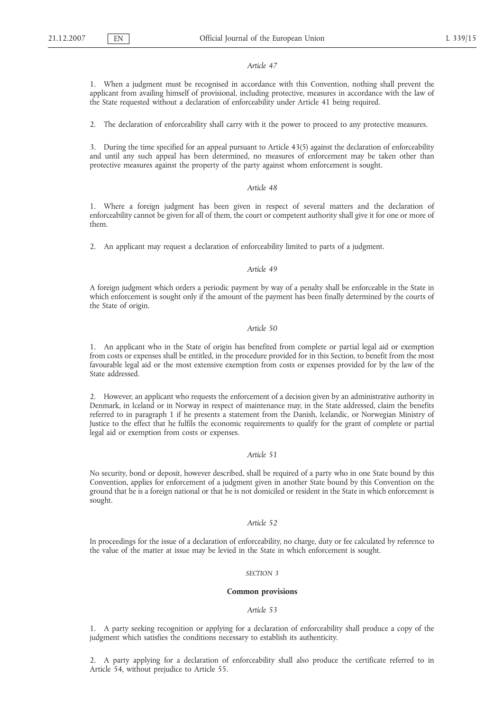1. When a judgment must be recognised in accordance with this Convention, nothing shall prevent the applicant from availing himself of provisional, including protective, measures in accordance with the law of the State requested without a declaration of enforceability under Article 41 being required.

2. The declaration of enforceability shall carry with it the power to proceed to any protective measures.

3. During the time specified for an appeal pursuant to Article 43(5) against the declaration of enforceability and until any such appeal has been determined, no measures of enforcement may be taken other than protective measures against the property of the party against whom enforcement is sought.

### *Article 48*

1. Where a foreign judgment has been given in respect of several matters and the declaration of enforceability cannot be given for all of them, the court or competent authority shall give it for one or more of them.

2. An applicant may request a declaration of enforceability limited to parts of a judgment.

#### *Article 49*

A foreign judgment which orders a periodic payment by way of a penalty shall be enforceable in the State in which enforcement is sought only if the amount of the payment has been finally determined by the courts of the State of origin.

# *Article 50*

1. An applicant who in the State of origin has benefited from complete or partial legal aid or exemption from costs or expenses shall be entitled, in the procedure provided for in this Section, to benefit from the most favourable legal aid or the most extensive exemption from costs or expenses provided for by the law of the State addressed.

2. However, an applicant who requests the enforcement of a decision given by an administrative authority in Denmark, in Iceland or in Norway in respect of maintenance may, in the State addressed, claim the benefits referred to in paragraph 1 if he presents a statement from the Danish, Icelandic, or Norwegian Ministry of Justice to the effect that he fulfils the economic requirements to qualify for the grant of complete or partial legal aid or exemption from costs or expenses.

# *Article 51*

No security, bond or deposit, however described, shall be required of a party who in one State bound by this Convention, applies for enforcement of a judgment given in another State bound by this Convention on the ground that he is a foreign national or that he is not domiciled or resident in the State in which enforcement is sought.

### *Article 52*

In proceedings for the issue of a declaration of enforceability, no charge, duty or fee calculated by reference to the value of the matter at issue may be levied in the State in which enforcement is sought.

### *SECTION 3*

#### **Common provisions**

#### *Article 53*

1. A party seeking recognition or applying for a declaration of enforceability shall produce a copy of the judgment which satisfies the conditions necessary to establish its authenticity.

2. A party applying for a declaration of enforceability shall also produce the certificate referred to in Article 54, without prejudice to Article 55.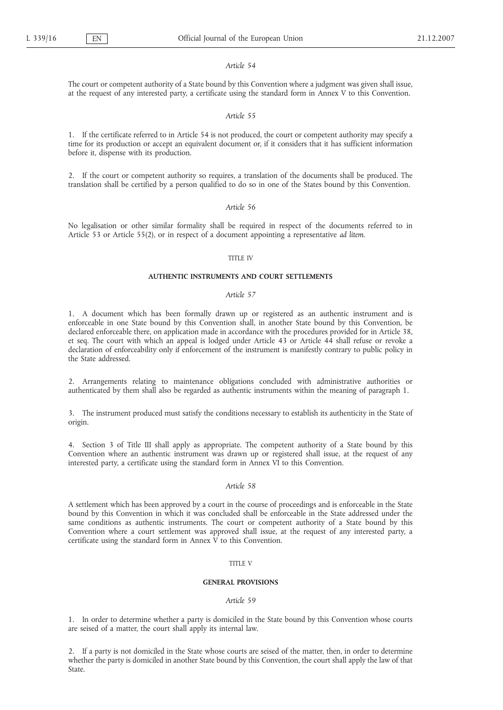The court or competent authority of a State bound by this Convention where a judgment was given shall issue, at the request of any interested party, a certificate using the standard form in Annex V to this Convention.

# *Article 55*

1. If the certificate referred to in Article 54 is not produced, the court or competent authority may specify a time for its production or accept an equivalent document or, if it considers that it has sufficient information before it, dispense with its production.

2. If the court or competent authority so requires, a translation of the documents shall be produced. The translation shall be certified by a person qualified to do so in one of the States bound by this Convention.

#### *Article 56*

No legalisation or other similar formality shall be required in respect of the documents referred to in Article 53 or Article 55(2), or in respect of a document appointing a representative *ad litem*.

### TITLE IV

### **AUTHENTIC INSTRUMENTS AND COURT SETTLEMENTS**

# *Article 57*

1. A document which has been formally drawn up or registered as an authentic instrument and is enforceable in one State bound by this Convention shall, in another State bound by this Convention, be declared enforceable there, on application made in accordance with the procedures provided for in Article 38, et seq. The court with which an appeal is lodged under Article 43 or Article 44 shall refuse or revoke a declaration of enforceability only if enforcement of the instrument is manifestly contrary to public policy in the State addressed.

2. Arrangements relating to maintenance obligations concluded with administrative authorities or authenticated by them shall also be regarded as authentic instruments within the meaning of paragraph 1.

3. The instrument produced must satisfy the conditions necessary to establish its authenticity in the State of origin.

4. Section 3 of Title III shall apply as appropriate. The competent authority of a State bound by this Convention where an authentic instrument was drawn up or registered shall issue, at the request of any interested party, a certificate using the standard form in Annex VI to this Convention.

#### *Article 58*

A settlement which has been approved by a court in the course of proceedings and is enforceable in the State bound by this Convention in which it was concluded shall be enforceable in the State addressed under the same conditions as authentic instruments. The court or competent authority of a State bound by this Convention where a court settlement was approved shall issue, at the request of any interested party, a certificate using the standard form in Annex  $\hat{V}$  to this Convention.

#### TITLE V

### **GENERAL PROVISIONS**

#### *Article 59*

1. In order to determine whether a party is domiciled in the State bound by this Convention whose courts are seised of a matter, the court shall apply its internal law.

2. If a party is not domiciled in the State whose courts are seised of the matter, then, in order to determine whether the party is domiciled in another State bound by this Convention, the court shall apply the law of that State.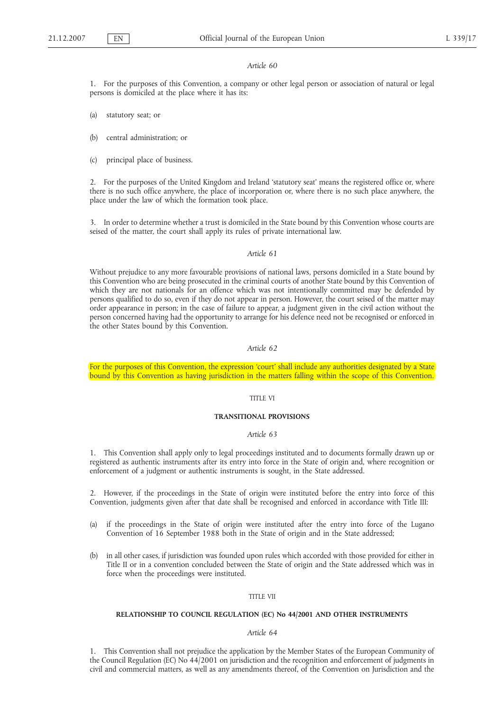1. For the purposes of this Convention, a company or other legal person or association of natural or legal persons is domiciled at the place where it has its:

(a) statutory seat; or

- (b) central administration; or
- (c) principal place of business.

2. For the purposes of the United Kingdom and Ireland 'statutory seat' means the registered office or, where there is no such office anywhere, the place of incorporation or, where there is no such place anywhere, the place under the law of which the formation took place.

3. In order to determine whether a trust is domiciled in the State bound by this Convention whose courts are seised of the matter, the court shall apply its rules of private international law.

# *Article 61*

Without prejudice to any more favourable provisions of national laws, persons domiciled in a State bound by this Convention who are being prosecuted in the criminal courts of another State bound by this Convention of which they are not nationals for an offence which was not intentionally committed may be defended by persons qualified to do so, even if they do not appear in person. However, the court seised of the matter may order appearance in person; in the case of failure to appear, a judgment given in the civil action without the person concerned having had the opportunity to arrange for his defence need not be recognised or enforced in the other States bound by this Convention.

# *Article 62*

For the purposes of this Convention, the expression 'court' shall include any authorities designated by a State bound by this Convention as having jurisdiction in the matters falling within the scope of this Convention.

### TITLE VI

# **TRANSITIONAL PROVISIONS**

*Article 63*

1. This Convention shall apply only to legal proceedings instituted and to documents formally drawn up or registered as authentic instruments after its entry into force in the State of origin and, where recognition or enforcement of a judgment or authentic instruments is sought, in the State addressed.

2. However, if the proceedings in the State of origin were instituted before the entry into force of this Convention, judgments given after that date shall be recognised and enforced in accordance with Title III:

- (a) if the proceedings in the State of origin were instituted after the entry into force of the Lugano Convention of 16 September 1988 both in the State of origin and in the State addressed;
- in all other cases, if jurisdiction was founded upon rules which accorded with those provided for either in Title II or in a convention concluded between the State of origin and the State addressed which was in force when the proceedings were instituted.

### TITLE VII

# **RELATIONSHIP TO COUNCIL REGULATION (EC) No 44/2001 AND OTHER INSTRUMENTS**

#### *Article 64*

1. This Convention shall not prejudice the application by the Member States of the European Community of the Council Regulation (EC) No 44/2001 on jurisdiction and the recognition and enforcement of judgments in civil and commercial matters, as well as any amendments thereof, of the Convention on Jurisdiction and the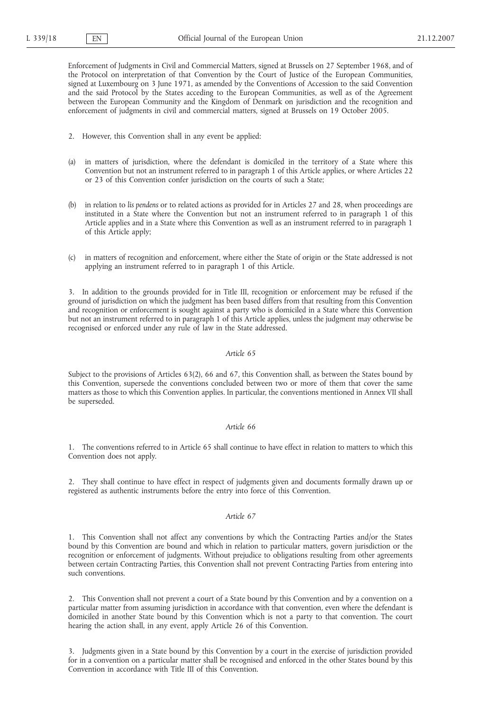Enforcement of Judgments in Civil and Commercial Matters, signed at Brussels on 27 September 1968, and of the Protocol on interpretation of that Convention by the Court of Justice of the European Communities, signed at Luxembourg on 3 June 1971, as amended by the Conventions of Accession to the said Convention and the said Protocol by the States acceding to the European Communities, as well as of the Agreement between the European Community and the Kingdom of Denmark on jurisdiction and the recognition and enforcement of judgments in civil and commercial matters, signed at Brussels on 19 October 2005.

- 2. However, this Convention shall in any event be applied:
- (a) in matters of jurisdiction, where the defendant is domiciled in the territory of a State where this Convention but not an instrument referred to in paragraph 1 of this Article applies, or where Articles 22 or 23 of this Convention confer jurisdiction on the courts of such a State;
- (b) in relation to *lis pendens* or to related actions as provided for in Articles 27 and 28, when proceedings are instituted in a State where the Convention but not an instrument referred to in paragraph 1 of this Article applies and in a State where this Convention as well as an instrument referred to in paragraph 1 of this Article apply;
- (c) in matters of recognition and enforcement, where either the State of origin or the State addressed is not applying an instrument referred to in paragraph 1 of this Article.

3. In addition to the grounds provided for in Title III, recognition or enforcement may be refused if the ground of jurisdiction on which the judgment has been based differs from that resulting from this Convention and recognition or enforcement is sought against a party who is domiciled in a State where this Convention but not an instrument referred to in paragraph 1 of this Article applies, unless the judgment may otherwise be recognised or enforced under any rule of law in the State addressed.

### *Article 65*

Subject to the provisions of Articles 63(2), 66 and 67, this Convention shall, as between the States bound by this Convention, supersede the conventions concluded between two or more of them that cover the same matters as those to which this Convention applies. In particular, the conventions mentioned in Annex VII shall be superseded.

#### *Article 66*

1. The conventions referred to in Article 65 shall continue to have effect in relation to matters to which this Convention does not apply.

2. They shall continue to have effect in respect of judgments given and documents formally drawn up or registered as authentic instruments before the entry into force of this Convention.

# *Article 67*

1. This Convention shall not affect any conventions by which the Contracting Parties and/or the States bound by this Convention are bound and which in relation to particular matters, govern jurisdiction or the recognition or enforcement of judgments. Without prejudice to obligations resulting from other agreements between certain Contracting Parties, this Convention shall not prevent Contracting Parties from entering into such conventions.

2. This Convention shall not prevent a court of a State bound by this Convention and by a convention on a particular matter from assuming jurisdiction in accordance with that convention, even where the defendant is domiciled in another State bound by this Convention which is not a party to that convention. The court hearing the action shall, in any event, apply Article 26 of this Convention.

3. Judgments given in a State bound by this Convention by a court in the exercise of jurisdiction provided for in a convention on a particular matter shall be recognised and enforced in the other States bound by this Convention in accordance with Title III of this Convention.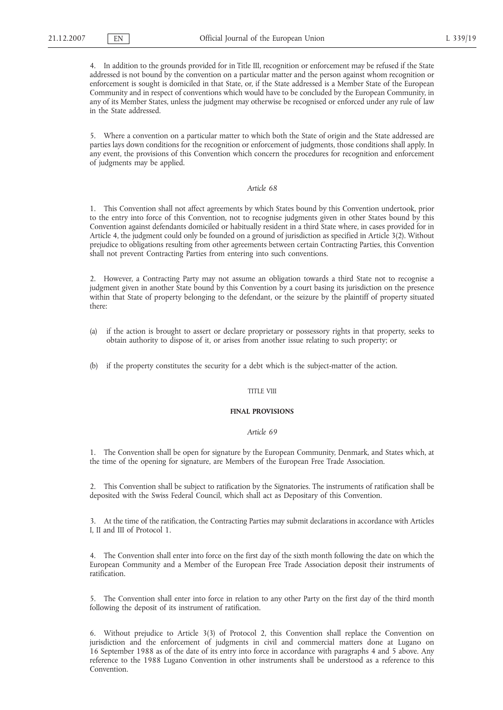4. In addition to the grounds provided for in Title III, recognition or enforcement may be refused if the State addressed is not bound by the convention on a particular matter and the person against whom recognition or enforcement is sought is domiciled in that State, or, if the State addressed is a Member State of the European Community and in respect of conventions which would have to be concluded by the European Community, in any of its Member States, unless the judgment may otherwise be recognised or enforced under any rule of law in the State addressed.

5. Where a convention on a particular matter to which both the State of origin and the State addressed are parties lays down conditions for the recognition or enforcement of judgments, those conditions shall apply. In any event, the provisions of this Convention which concern the procedures for recognition and enforcement of judgments may be applied.

# *Article 68*

1. This Convention shall not affect agreements by which States bound by this Convention undertook, prior to the entry into force of this Convention, not to recognise judgments given in other States bound by this Convention against defendants domiciled or habitually resident in a third State where, in cases provided for in Article 4, the judgment could only be founded on a ground of jurisdiction as specified in Article 3(2). Without prejudice to obligations resulting from other agreements between certain Contracting Parties, this Convention shall not prevent Contracting Parties from entering into such conventions.

2. However, a Contracting Party may not assume an obligation towards a third State not to recognise a judgment given in another State bound by this Convention by a court basing its jurisdiction on the presence within that State of property belonging to the defendant, or the seizure by the plaintiff of property situated there:

- (a) if the action is brought to assert or declare proprietary or possessory rights in that property, seeks to obtain authority to dispose of it, or arises from another issue relating to such property; or
- (b) if the property constitutes the security for a debt which is the subject-matter of the action.

### TITLE VIII

#### **FINAL PROVISIONS**

### *Article 69*

1. The Convention shall be open for signature by the European Community, Denmark, and States which, at the time of the opening for signature, are Members of the European Free Trade Association.

2. This Convention shall be subject to ratification by the Signatories. The instruments of ratification shall be deposited with the Swiss Federal Council, which shall act as Depositary of this Convention.

3. At the time of the ratification, the Contracting Parties may submit declarations in accordance with Articles I, II and III of Protocol 1.

4. The Convention shall enter into force on the first day of the sixth month following the date on which the European Community and a Member of the European Free Trade Association deposit their instruments of ratification.

5. The Convention shall enter into force in relation to any other Party on the first day of the third month following the deposit of its instrument of ratification.

6. Without prejudice to Article 3(3) of Protocol 2, this Convention shall replace the Convention on jurisdiction and the enforcement of judgments in civil and commercial matters done at Lugano on 16 September 1988 as of the date of its entry into force in accordance with paragraphs 4 and 5 above. Any reference to the 1988 Lugano Convention in other instruments shall be understood as a reference to this Convention.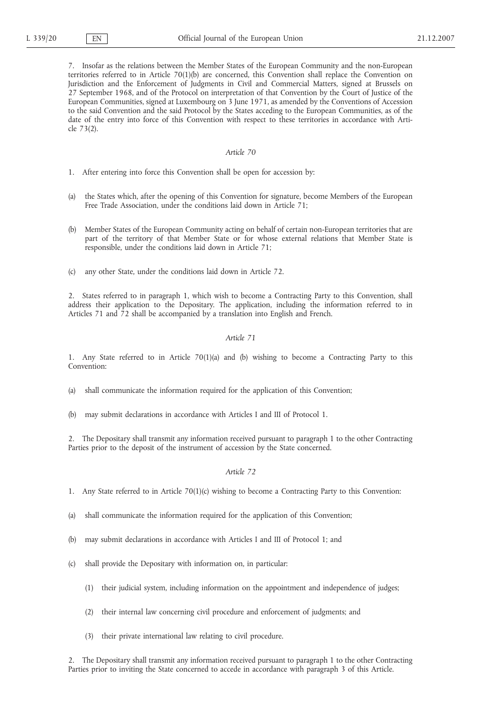7. Insofar as the relations between the Member States of the European Community and the non-European territories referred to in Article 70(1)(b) are concerned, this Convention shall replace the Convention on Jurisdiction and the Enforcement of Judgments in Civil and Commercial Matters, signed at Brussels on 27 September 1968, and of the Protocol on interpretation of that Convention by the Court of Justice of the European Communities, signed at Luxembourg on 3 June 1971, as amended by the Conventions of Accession to the said Convention and the said Protocol by the States acceding to the European Communities, as of the date of the entry into force of this Convention with respect to these territories in accordance with Article 73(2).

### *Article 70*

- 1. After entering into force this Convention shall be open for accession by:
- (a) the States which, after the opening of this Convention for signature, become Members of the European Free Trade Association, under the conditions laid down in Article 71;
- (b) Member States of the European Community acting on behalf of certain non-European territories that are part of the territory of that Member State or for whose external relations that Member State is responsible, under the conditions laid down in Article 71;
- (c) any other State, under the conditions laid down in Article 72.

2. States referred to in paragraph 1, which wish to become a Contracting Party to this Convention, shall address their application to the Depositary. The application, including the information referred to in Articles 71 and  $72$  shall be accompanied by a translation into English and French.

### *Article 71*

1. Any State referred to in Article 70(1)(a) and (b) wishing to become a Contracting Party to this Convention:

- (a) shall communicate the information required for the application of this Convention;
- (b) may submit declarations in accordance with Articles I and III of Protocol 1.

2. The Depositary shall transmit any information received pursuant to paragraph 1 to the other Contracting Parties prior to the deposit of the instrument of accession by the State concerned.

# *Article 72*

- 1. Any State referred to in Article 70(1)(c) wishing to become a Contracting Party to this Convention:
- (a) shall communicate the information required for the application of this Convention;
- (b) may submit declarations in accordance with Articles I and III of Protocol 1; and
- (c) shall provide the Depositary with information on, in particular:
	- (1) their judicial system, including information on the appointment and independence of judges;
	- (2) their internal law concerning civil procedure and enforcement of judgments; and
	- (3) their private international law relating to civil procedure.

2. The Depositary shall transmit any information received pursuant to paragraph 1 to the other Contracting Parties prior to inviting the State concerned to accede in accordance with paragraph 3 of this Article.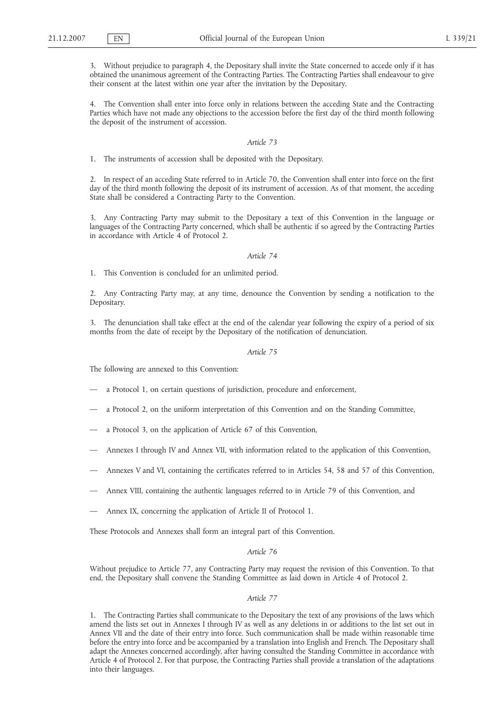3. Without prejudice to paragraph 4, the Depositary shall invite the State concerned to accede only if it has obtained the unanimous agreement of the Contracting Parties. The Contracting Parties shall endeavour to give their consent at the latest within one year after the invitation by the Depositary.

4. The Convention shall enter into force only in relations between the acceding State and the Contracting Parties which have not made any objections to the accession before the first day of the third month following the deposit of the instrument of accession.

### *Article 73*

1. The instruments of accession shall be deposited with the Depositary.

2. In respect of an acceding State referred to in Article 70, the Convention shall enter into force on the first day of the third month following the deposit of its instrument of accession. As of that moment, the acceding State shall be considered a Contracting Party to the Convention.

3. Any Contracting Party may submit to the Depositary a text of this Convention in the language or languages of the Contracting Party concerned, which shall be authentic if so agreed by the Contracting Parties in accordance with Article 4 of Protocol 2.

#### *Article 74*

1. This Convention is concluded for an unlimited period.

2. Any Contracting Party may, at any time, denounce the Convention by sending a notification to the Depositary.

3. The denunciation shall take effect at the end of the calendar year following the expiry of a period of six months from the date of receipt by the Depositary of the notification of denunciation.

#### *Article 75*

The following are annexed to this Convention:

- a Protocol 1, on certain questions of jurisdiction, procedure and enforcement,
- a Protocol 2, on the uniform interpretation of this Convention and on the Standing Committee,
- a Protocol 3, on the application of Article 67 of this Convention,
- Annexes I through IV and Annex VII, with information related to the application of this Convention,
- Annexes V and VI, containing the certificates referred to in Articles 54, 58 and 57 of this Convention,
- Annex VIII, containing the authentic languages referred to in Article 79 of this Convention, and
- Annex IX, concerning the application of Article II of Protocol 1.

These Protocols and Annexes shall form an integral part of this Convention.

### *Article 76*

Without prejudice to Article 77, any Contracting Party may request the revision of this Convention. To that end, the Depositary shall convene the Standing Committee as laid down in Article 4 of Protocol 2.

#### *Article 77*

1. The Contracting Parties shall communicate to the Depositary the text of any provisions of the laws which amend the lists set out in Annexes I through IV as well as any deletions in or additions to the list set out in Annex VII and the date of their entry into force. Such communication shall be made within reasonable time before the entry into force and be accompanied by a translation into English and French. The Depositary shall adapt the Annexes concerned accordingly, after having consulted the Standing Committee in accordance with Article 4 of Protocol 2. For that purpose, the Contracting Parties shall provide a translation of the adaptations into their languages.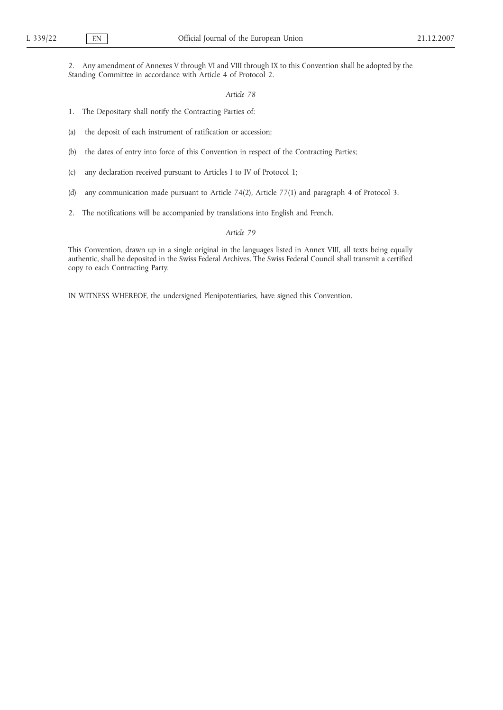2. Any amendment of Annexes V through VI and VIII through IX to this Convention shall be adopted by the Standing Committee in accordance with Article 4 of Protocol 2.

*Article 78*

1. The Depositary shall notify the Contracting Parties of:

(a) the deposit of each instrument of ratification or accession;

- (b) the dates of entry into force of this Convention in respect of the Contracting Parties;
- (c) any declaration received pursuant to Articles I to IV of Protocol 1;
- (d) any communication made pursuant to Article 74(2), Article 77(1) and paragraph 4 of Protocol 3.
- 2. The notifications will be accompanied by translations into English and French.

# *Article 79*

This Convention, drawn up in a single original in the languages listed in Annex VIII, all texts being equally authentic, shall be deposited in the Swiss Federal Archives. The Swiss Federal Council shall transmit a certified copy to each Contracting Party.

IN WITNESS WHEREOF, the undersigned Plenipotentiaries, have signed this Convention.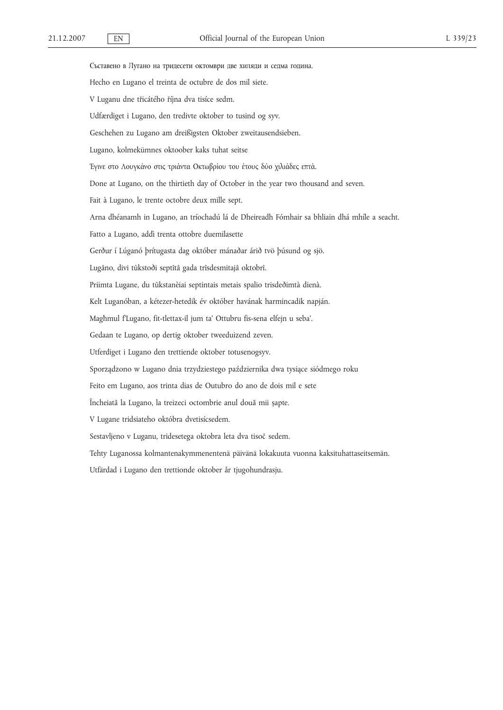Съставено в Лугано на тридесети октомври две хиляди и седма година. Hecho en Lugano el treinta de octubre de dos mil siete. V Luganu dne třicátého října dva tisíce sedm. Udfærdiget i Lugano, den tredivte oktober to tusind og syv. Geschehen zu Lugano am dreißigsten Oktober zweitausendsieben. Lugano, kolmekümnes oktoober kaks tuhat seitse Έγινε στο Λουγκάνο στις τριάντα Οκτωβρίου του έτους δύο χιλιάδες επτά. Done at Lugano, on the thirtieth day of October in the year two thousand and seven. Fait à Lugano, le trente octobre deux mille sept. Arna dhéanamh in Lugano, an tríochadú lá de Dheireadh Fómhair sa bhliain dhá mhíle a seacht. Fatto a Lugano, addì trenta ottobre duemilasette Gerður í Lúganó þrítugasta dag október mánaðar árið tvö þúsund og sjö. Lugâno, divi tûkstoði septîtâ gada trîsdesmitajâ oktobrî. Priimta Lugane, du tûkstanèiai septintais metais spalio trisdeðimtà dienà. Kelt Luganóban, a kétezer-hetedik év október havának harmincadik napján. Magħmul f'Lugano, fit-tlettax-il jum ta' Ottubru fis-sena elfejn u seba'. Gedaan te Lugano, op dertig oktober tweeduizend zeven. Utferdiget i Lugano den trettiende oktober totusenogsyv. Sporządzono w Lugano dnia trzydziestego października dwa tysiące siódmego roku Feito em Lugano, aos trinta dias de Outubro do ano de dois mil e sete Încheiatã la Lugano, la treizeci octombrie anul douã mii șapte. V Lugane tridsiateho októbra dvetisícsedem. Sestavljeno v Luganu, tridesetega oktobra leta dva tisoč sedem. Tehty Luganossa kolmantenakymmenentenä päivänä lokakuuta vuonna kaksituhattaseitsemän. Utfärdad i Lugano den trettionde oktober år tjugohundrasju.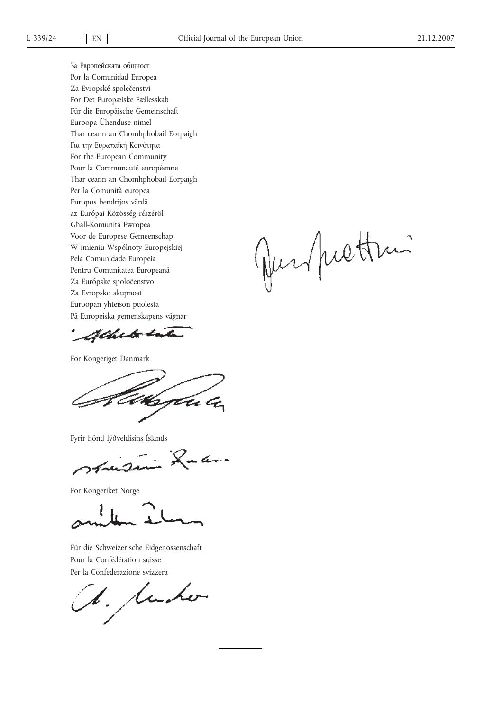За Европейската общност Por la Comunidad Europea Za Evropské společenstvi For Det Europæiske Fællesskab Für die Europäische Gemeinschaft Euroopa Ühenduse nimel Thar ceann an Chomhphobail Eorpaigh Για την Ευρωπαϊκή Κοινότητα For the European Community Pour la Communauté européenne Thar ceann an Chomhphobail Eorpaigh Per la Comunità europea Europos bendrijos vārdā az Európai Közösség részéröl Għall-Komunità Ewropea Voor de Europese Gemeenschap W imieniu Wspólnoty Europejskiej Pela Comunidade Europeia Pentru Comunitatea Europeană Za Európske spoločenstvo Za Evropsko skupnost Euroopan yhteisön puolesta På Europeiska gemenskapens vägnar

Jur protter

Schik int

For Kongeriget Danmark

thu te

Fyrir hönd lýðveldisins Íslands

Ludova

For Kongeriket Norge

Für die Schweizerische Eidgenossenschaft Pour la Confédération suisse Per la Confederazione svizzera

t. Muho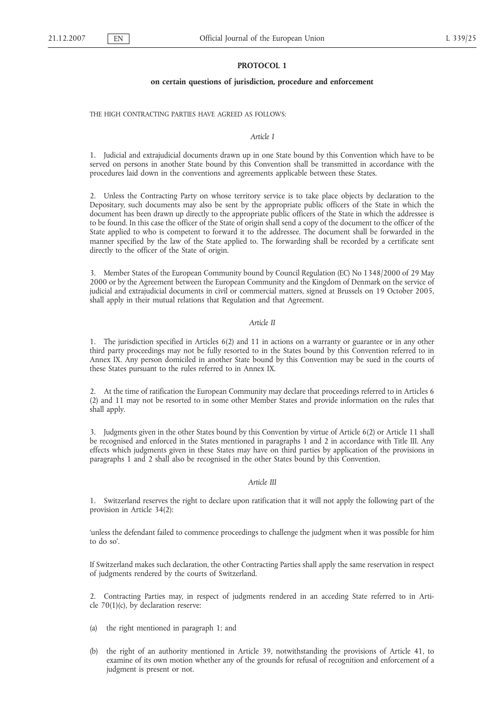### **PROTOCOL 1**

### **on certain questions of jurisdiction, procedure and enforcement**

THE HIGH CONTRACTING PARTIES HAVE AGREED AS FOLLOWS:

### *Article I*

1. Judicial and extrajudicial documents drawn up in one State bound by this Convention which have to be served on persons in another State bound by this Convention shall be transmitted in accordance with the procedures laid down in the conventions and agreements applicable between these States.

2. Unless the Contracting Party on whose territory service is to take place objects by declaration to the Depositary, such documents may also be sent by the appropriate public officers of the State in which the document has been drawn up directly to the appropriate public officers of the State in which the addressee is to be found. In this case the officer of the State of origin shall send a copy of the document to the officer of the State applied to who is competent to forward it to the addressee. The document shall be forwarded in the manner specified by the law of the State applied to. The forwarding shall be recorded by a certificate sent directly to the officer of the State of origin.

3. Member States of the European Community bound by Council Regulation (EC) No 1348/2000 of 29 May 2000 or by the Agreement between the European Community and the Kingdom of Denmark on the service of judicial and extrajudicial documents in civil or commercial matters, signed at Brussels on 19 October 2005, shall apply in their mutual relations that Regulation and that Agreement.

# *Article II*

1. The jurisdiction specified in Articles 6(2) and 11 in actions on a warranty or guarantee or in any other third party proceedings may not be fully resorted to in the States bound by this Convention referred to in Annex IX. Any person domiciled in another State bound by this Convention may be sued in the courts of these States pursuant to the rules referred to in Annex IX.

2. At the time of ratification the European Community may declare that proceedings referred to in Articles 6 (2) and 11 may not be resorted to in some other Member States and provide information on the rules that shall apply.

3. Judgments given in the other States bound by this Convention by virtue of Article 6(2) or Article 11 shall be recognised and enforced in the States mentioned in paragraphs 1 and 2 in accordance with Title III. Any effects which judgments given in these States may have on third parties by application of the provisions in paragraphs 1 and 2 shall also be recognised in the other States bound by this Convention.

### *Article III*

1. Switzerland reserves the right to declare upon ratification that it will not apply the following part of the provision in Article 34(2):

'unless the defendant failed to commence proceedings to challenge the judgment when it was possible for him to do so'.

If Switzerland makes such declaration, the other Contracting Parties shall apply the same reservation in respect of judgments rendered by the courts of Switzerland.

2. Contracting Parties may, in respect of judgments rendered in an acceding State referred to in Article 70(1)(c), by declaration reserve:

- (a) the right mentioned in paragraph 1; and
- (b) the right of an authority mentioned in Article 39, notwithstanding the provisions of Article 41, to examine of its own motion whether any of the grounds for refusal of recognition and enforcement of a judgment is present or not.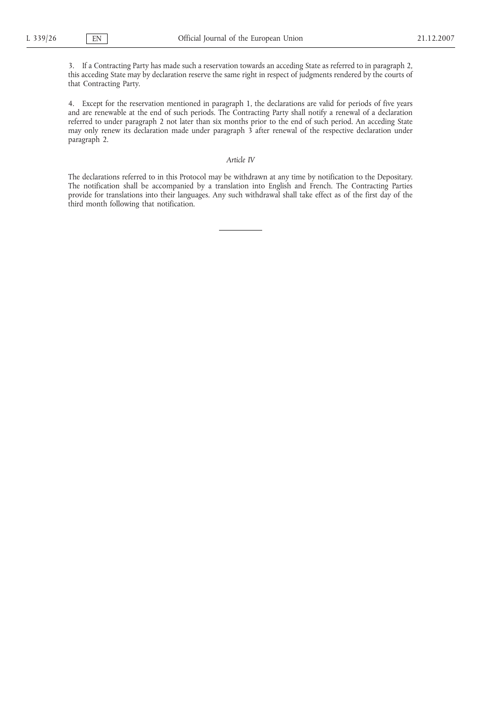3. If a Contracting Party has made such a reservation towards an acceding State as referred to in paragraph 2, this acceding State may by declaration reserve the same right in respect of judgments rendered by the courts of that Contracting Party.

4. Except for the reservation mentioned in paragraph 1, the declarations are valid for periods of five years and are renewable at the end of such periods. The Contracting Party shall notify a renewal of a declaration referred to under paragraph 2 not later than six months prior to the end of such period. An acceding State may only renew its declaration made under paragraph 3 after renewal of the respective declaration under paragraph 2.

# *Article IV*

The declarations referred to in this Protocol may be withdrawn at any time by notification to the Depositary. The notification shall be accompanied by a translation into English and French. The Contracting Parties provide for translations into their languages. Any such withdrawal shall take effect as of the first day of the third month following that notification.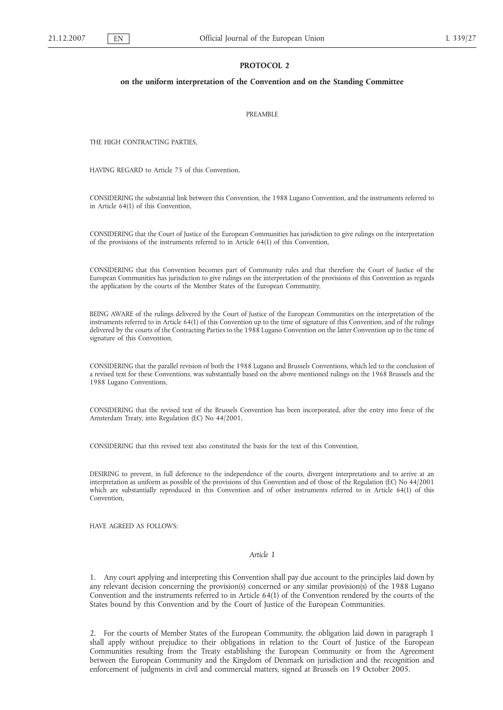# **PROTOCOL 2**

### **on the uniform interpretation of the Convention and on the Standing Committee**

#### PREAMBLE

THE HIGH CONTRACTING PARTIES,

HAVING REGARD to Article 75 of this Convention,

CONSIDERING the substantial link between this Convention, the 1988 Lugano Convention, and the instruments referred to in Article 64(1) of this Convention,

CONSIDERING that the Court of Justice of the European Communities has jurisdiction to give rulings on the interpretation of the provisions of the instruments referred to in Article 64(1) of this Convention,

CONSIDERING that this Convention becomes part of Community rules and that therefore the Court of Justice of the European Communities has jurisdiction to give rulings on the interpretation of the provisions of this Convention as regards the application by the courts of the Member States of the European Community,

BEING AWARE of the rulings delivered by the Court of Justice of the European Communities on the interpretation of the instruments referred to in Article 64(1) of this Convention up to the time of signature of this Convention, and of the rulings delivered by the courts of the Contracting Parties to the 1988 Lugano Convention on the latter Convention up to the time of signature of this Convention,

CONSIDERING that the parallel revision of both the 1988 Lugano and Brussels Conventions, which led to the conclusion of a revised text for these Conventions, was substantially based on the above mentioned rulings on the 1968 Brussels and the 1988 Lugano Conventions,

CONSIDERING that the revised text of the Brussels Convention has been incorporated, after the entry into force of the Amsterdam Treaty, into Regulation (EC) No 44/2001,

CONSIDERING that this revised text also constituted the basis for the text of this Convention,

DESIRING to prevent, in full deference to the independence of the courts, divergent interpretations and to arrive at an interpretation as uniform as possible of the provisions of this Convention and of those of the Regulation (EC) No 44/2001 which are substantially reproduced in this Convention and of other instruments referred to in Article 64(1) of this Convention,

HAVE AGREED AS FOLLOWS:

# *Article 1*

1. Any court applying and interpreting this Convention shall pay due account to the principles laid down by any relevant decision concerning the provision(s) concerned or any similar provision(s) of the 1988 Lugano Convention and the instruments referred to in Article 64(1) of the Convention rendered by the courts of the States bound by this Convention and by the Court of Justice of the European Communities.

2. For the courts of Member States of the European Community, the obligation laid down in paragraph 1 shall apply without prejudice to their obligations in relation to the Court of Justice of the European Communities resulting from the Treaty establishing the European Community or from the Agreement between the European Community and the Kingdom of Denmark on jurisdiction and the recognition and enforcement of judgments in civil and commercial matters, signed at Brussels on 19 October 2005.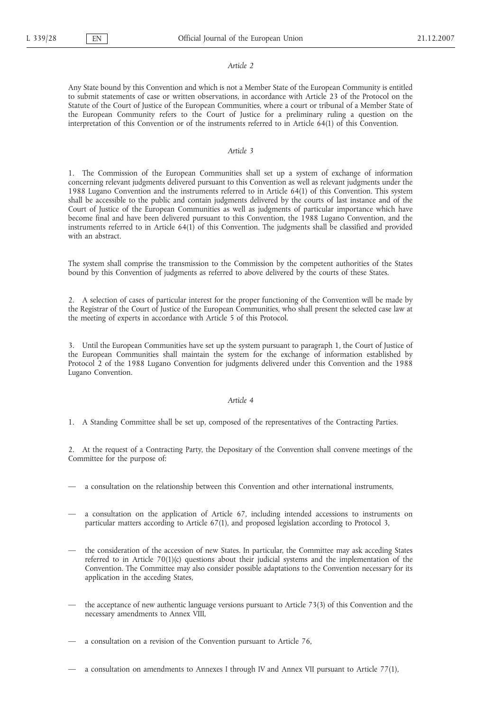Any State bound by this Convention and which is not a Member State of the European Community is entitled to submit statements of case or written observations, in accordance with Article 23 of the Protocol on the Statute of the Court of Justice of the European Communities, where a court or tribunal of a Member State of the European Community refers to the Court of Justice for a preliminary ruling a question on the interpretation of this Convention or of the instruments referred to in Article 64(1) of this Convention.

# *Article 3*

1. The Commission of the European Communities shall set up a system of exchange of information concerning relevant judgments delivered pursuant to this Convention as well as relevant judgments under the 1988 Lugano Convention and the instruments referred to in Article 64(1) of this Convention. This system shall be accessible to the public and contain judgments delivered by the courts of last instance and of the Court of Justice of the European Communities as well as judgments of particular importance which have become final and have been delivered pursuant to this Convention, the 1988 Lugano Convention, and the instruments referred to in Article 64(1) of this Convention. The judgments shall be classified and provided with an abstract.

The system shall comprise the transmission to the Commission by the competent authorities of the States bound by this Convention of judgments as referred to above delivered by the courts of these States.

2. A selection of cases of particular interest for the proper functioning of the Convention will be made by the Registrar of the Court of Justice of the European Communities, who shall present the selected case law at the meeting of experts in accordance with Article 5 of this Protocol.

3. Until the European Communities have set up the system pursuant to paragraph 1, the Court of Justice of the European Communities shall maintain the system for the exchange of information established by Protocol 2 of the 1988 Lugano Convention for judgments delivered under this Convention and the 1988 Lugano Convention.

# *Article 4*

1. A Standing Committee shall be set up, composed of the representatives of the Contracting Parties.

2. At the request of a Contracting Party, the Depositary of the Convention shall convene meetings of the Committee for the purpose of:

- a consultation on the relationship between this Convention and other international instruments,
- a consultation on the application of Article 67, including intended accessions to instruments on particular matters according to Article 67(1), and proposed legislation according to Protocol 3,
- the consideration of the accession of new States. In particular, the Committee may ask acceding States referred to in Article 70(1)(c) questions about their judicial systems and the implementation of the Convention. The Committee may also consider possible adaptations to the Convention necessary for its application in the acceding States,
- the acceptance of new authentic language versions pursuant to Article  $73(3)$  of this Convention and the necessary amendments to Annex VIII,

— a consultation on a revision of the Convention pursuant to Article 76,

— a consultation on amendments to Annexes I through IV and Annex VII pursuant to Article 77(1),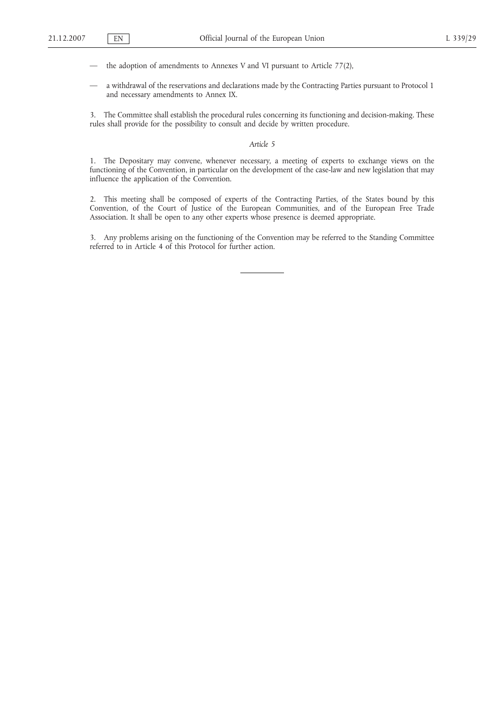the adoption of amendments to Annexes V and VI pursuant to Article  $77(2)$ ,

a withdrawal of the reservations and declarations made by the Contracting Parties pursuant to Protocol 1 and necessary amendments to Annex IX.

3. The Committee shall establish the procedural rules concerning its functioning and decision-making. These rules shall provide for the possibility to consult and decide by written procedure.

### *Article 5*

1. The Depositary may convene, whenever necessary, a meeting of experts to exchange views on the functioning of the Convention, in particular on the development of the case-law and new legislation that may influence the application of the Convention.

2. This meeting shall be composed of experts of the Contracting Parties, of the States bound by this Convention, of the Court of Justice of the European Communities, and of the European Free Trade Association. It shall be open to any other experts whose presence is deemed appropriate.

3. Any problems arising on the functioning of the Convention may be referred to the Standing Committee referred to in Article 4 of this Protocol for further action.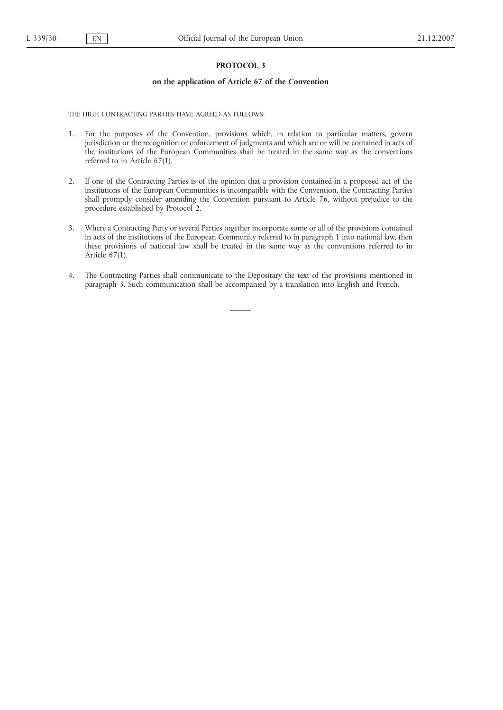# **PROTOCOL 3**

# **on the application of Article 67 of the Convention**

THE HIGH CONTRACTING PARTIES HAVE AGREED AS FOLLOWS:

- 1. For the purposes of the Convention, provisions which, in relation to particular matters, govern jurisdiction or the recognition or enforcement of judgments and which are or will be contained in acts of the institutions of the European Communities shall be treated in the same way as the conventions referred to in Article 67(1).
- 2. If one of the Contracting Parties is of the opinion that a provision contained in a proposed act of the institutions of the European Communities is incompatible with the Convention, the Contracting Parties shall promptly consider amending the Convention pursuant to Article 76, without prejudice to the procedure established by Protocol 2.
- 3. Where a Contracting Party or several Parties together incorporate some or all of the provisions contained in acts of the institutions of the European Community referred to in paragraph 1 into national law, then these provisions of national law shall be treated in the same way as the conventions referred to in Article 67(1).
- 4. The Contracting Parties shall communicate to the Depositary the text of the provisions mentioned in paragraph 3. Such communication shall be accompanied by a translation into English and French.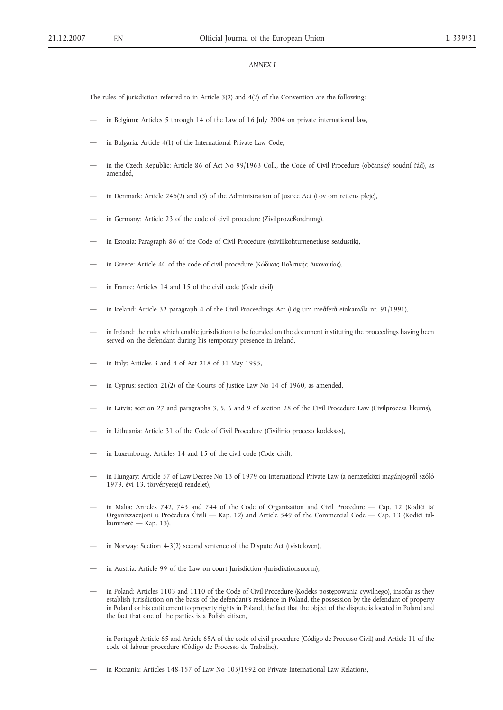#### *ANNEX I*

The rules of jurisdiction referred to in Article 3(2) and 4(2) of the Convention are the following:

- in Belgium: Articles 5 through 14 of the Law of 16 July 2004 on private international law,
- in Bulgaria: Article 4(1) of the International Private Law Code,
- in the Czech Republic: Article 86 of Act No 99/1963 Coll., the Code of Civil Procedure (občanský soudní řád), as amended,
- in Denmark: Article 246(2) and (3) of the Administration of Justice Act (Lov om rettens pleje),
- in Germany: Article 23 of the code of civil procedure (Zivilprozeßordnung),
- in Estonia: Paragraph 86 of the Code of Civil Procedure (tsiviilkohtumenetluse seadustik),
- in Greece: Article 40 of the code of civil procedure (Κώδικας Πολιτικής Δικονομίας),
- in France: Articles 14 and 15 of the civil code (Code civil),
- in Iceland: Article 32 paragraph 4 of the Civil Proceedings Act (Lög um meðferð einkamála nr. 91/1991),
- in Ireland: the rules which enable jurisdiction to be founded on the document instituting the proceedings having been served on the defendant during his temporary presence in Ireland,
- in Italy: Articles 3 and 4 of Act 218 of 31 May 1995,
- in Cyprus: section 21(2) of the Courts of Justice Law No 14 of 1960, as amended,
- in Latvia: section 27 and paragraphs 3, 5, 6 and 9 of section 28 of the Civil Procedure Law (Civilprocesa likums),
- in Lithuania: Article 31 of the Code of Civil Procedure (Civilinio proceso kodeksas),
- in Luxembourg: Articles 14 and 15 of the civil code (Code civil),
- in Hungary: Article 57 of Law Decree No 13 of 1979 on International Private Law (a nemzetközi magánjogról szóló 1979. évi 13. törvényerejű rendelet),
- in Malta: Articles 742, 743 and 744 of the Code of Organisation and Civil Procedure Cap. 12 (Kodići ta' Organizzazzjoni u Proċedura Ċivili — Kap. 12) and Article 549 of the Commercial Code — Cap. 13 (Kodiċi talkummer $\dot{c}$  – Kap. 13),
- in Norway: Section 4-3(2) second sentence of the Dispute Act (tvisteloven),
- in Austria: Article 99 of the Law on court Jurisdiction (Jurisdiktionsnorm),
- in Poland: Articles 1103 and 1110 of the Code of Civil Procedure (Kodeks postępowania cywilnego), insofar as they establish jurisdiction on the basis of the defendant's residence in Poland, the possession by the defendant of property in Poland or his entitlement to property rights in Poland, the fact that the object of the dispute is located in Poland and the fact that one of the parties is a Polish citizen,
- in Portugal: Article 65 and Article 65A of the code of civil procedure (Código de Processo Civil) and Article 11 of the code of labour procedure (Código de Processo de Trabalho),
- in Romania: Articles 148-157 of Law No 105/1992 on Private International Law Relations,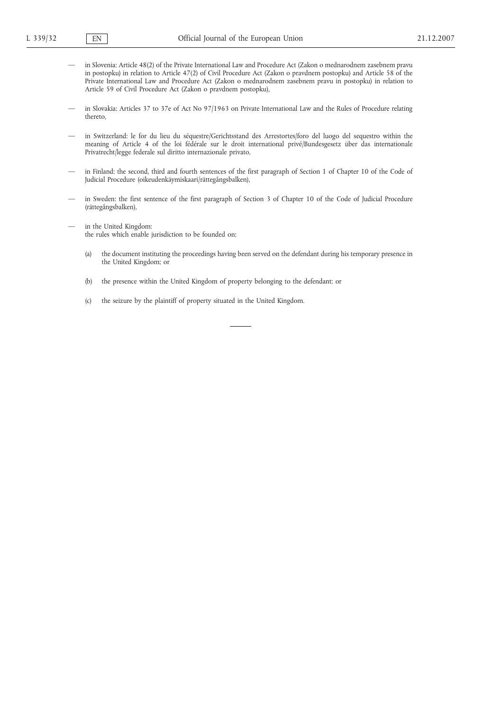- in Slovenia: Article 48(2) of the Private International Law and Procedure Act (Zakon o mednarodnem zasebnem pravu in postopku) in relation to Article 47(2) of Civil Procedure Act (Zakon o pravdnem postopku) and Article 58 of the Private International Law and Procedure Act (Zakon o mednarodnem zasebnem pravu in postopku) in relation to Article 59 of Civil Procedure Act (Zakon o pravdnem postopku),
- in Slovakia: Articles 37 to 37e of Act No 97/1963 on Private International Law and the Rules of Procedure relating thereto,
- in Switzerland: le for du lieu du séquestre/Gerichtsstand des Arrestortes/foro del luogo del sequestro within the meaning of Article 4 of the loi fédérale sur le droit international privé/Bundesgesetz über das internationale Privatrecht/legge federale sul diritto internazionale privato,
- in Finland: the second, third and fourth sentences of the first paragraph of Section 1 of Chapter 10 of the Code of Judicial Procedure (oikeudenkäymiskaari/rättegångsbalken),
- in Sweden: the first sentence of the first paragraph of Section 3 of Chapter 10 of the Code of Judicial Procedure (rättegångsbalken),
- in the United Kingdom: the rules which enable jurisdiction to be founded on:
	- (a) the document instituting the proceedings having been served on the defendant during his temporary presence in the United Kingdom; or
	- (b) the presence within the United Kingdom of property belonging to the defendant; or
	- (c) the seizure by the plaintiff of property situated in the United Kingdom.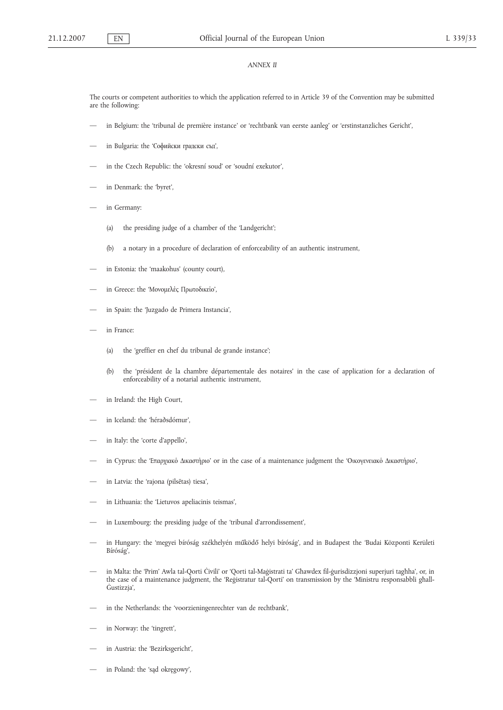#### *ANNEX II*

The courts or competent authorities to which the application referred to in Article 39 of the Convention may be submitted are the following:

- in Belgium: the 'tribunal de première instance' or 'rechtbank van eerste aanleg' or 'erstinstanzliches Gericht',
- in Bulgaria: the 'Софийски градски съд',
- in the Czech Republic: the 'okresní soud' or 'soudní exekutor',
- in Denmark: the 'byret',
- in Germany:
	- (a) the presiding judge of a chamber of the 'Landgericht';
	- (b) a notary in a procedure of declaration of enforceability of an authentic instrument,
- in Estonia: the 'maakohus' (county court),
- in Greece: the 'Μονομελές Πρωτοδικείο',
- in Spain: the 'Juzgado de Primera Instancia',
- in France:
	- (a) the 'greffier en chef du tribunal de grande instance';
	- (b) the 'président de la chambre départementale des notaires' in the case of application for a declaration of enforceability of a notarial authentic instrument,
- in Ireland: the High Court,
- in Iceland: the 'héraðsdómur',
- in Italy: the 'corte d'appello',
- in Cyprus: the 'Επαρχιακό Δικαστήριο' or in the case of a maintenance judgment the 'Οικογενειακό Δικαστήριο',
- in Latvia: the 'rajona (pilsētas) tiesa',
- in Lithuania: the 'Lietuvos apeliacinis teismas',
- in Luxembourg: the presiding judge of the 'tribunal d'arrondissement',
- in Hungary: the 'megyei bíróság székhelyén működő helyi bíróság', and in Budapest the 'Budai Központi Kerületi Bíróság',
- in Malta: the 'Prim' Awla tal-Qorti Ċivili' or 'Qorti tal-Maġistrati ta' Għawdex fil-ġurisdizzjoni superjuri tagħha', or, in the case of a maintenance judgment, the 'Reġistratur tal-Qorti' on transmission by the 'Ministru responsabbli għall-Ġustizzja',
- in the Netherlands: the 'voorzieningenrechter van de rechtbank',
- in Norway: the 'tingrett',
- in Austria: the 'Bezirksgericht',
- in Poland: the 'sąd okręgowy',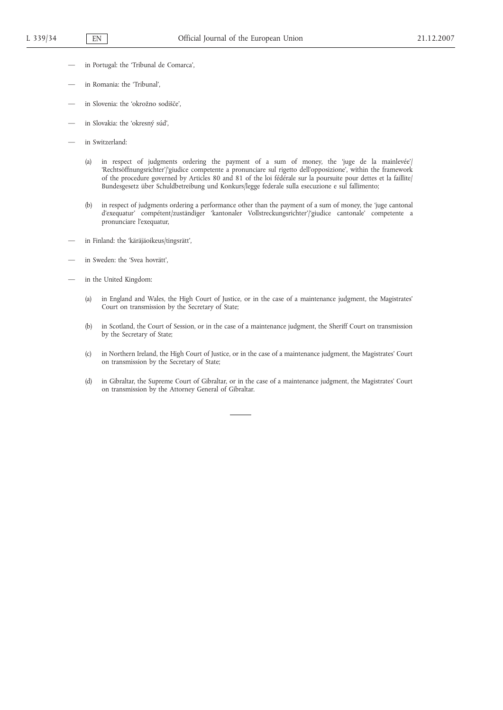- in Portugal: the 'Tribunal de Comarca',
- in Romania: the 'Tribunal',
- in Slovenia: the 'okrožno sodišče',
- in Slovakia: the 'okresný súd',
- in Switzerland:
	- (a) in respect of judgments ordering the payment of a sum of money, the 'juge de la mainlevée'/ 'Rechtsöffnungsrichter'/'giudice competente a pronunciare sul rigetto dell'opposizione', within the framework of the procedure governed by Articles 80 and 81 of the loi fédérale sur la poursuite pour dettes et la faillite/ Bundesgesetz über Schuldbetreibung und Konkurs/legge federale sulla esecuzione e sul fallimento;
	- (b) in respect of judgments ordering a performance other than the payment of a sum of money, the 'juge cantonal d'exequatur' compétent/zuständiger 'kantonaler Vollstreckungsrichter'/'giudice cantonale' competente a pronunciare l'exequatur,
- in Finland: the 'käräjäoikeus/tingsrätt',
- in Sweden: the 'Svea hovrätt',
- in the United Kingdom:
	- (a) in England and Wales, the High Court of Justice, or in the case of a maintenance judgment, the Magistrates' Court on transmission by the Secretary of State;
	- (b) in Scotland, the Court of Session, or in the case of a maintenance judgment, the Sheriff Court on transmission by the Secretary of State;
	- (c) in Northern Ireland, the High Court of Justice, or in the case of a maintenance judgment, the Magistrates' Court on transmission by the Secretary of State;
	- (d) in Gibraltar, the Supreme Court of Gibraltar, or in the case of a maintenance judgment, the Magistrates' Court on transmission by the Attorney General of Gibraltar.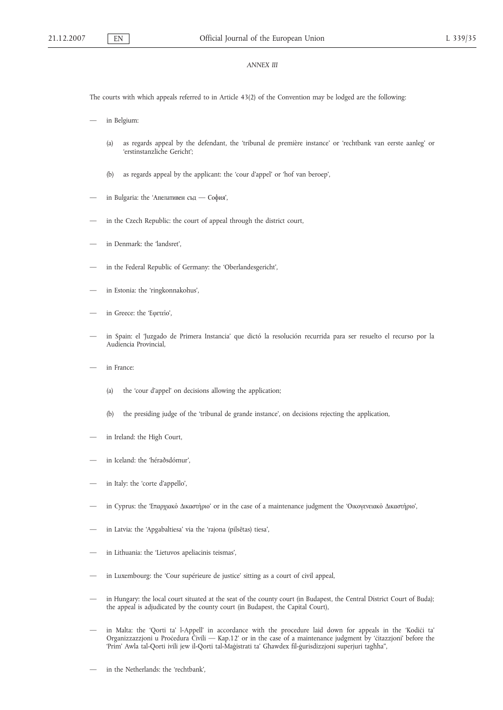#### *ANNEX III*

The courts with which appeals referred to in Article 43(2) of the Convention may be lodged are the following:

- in Belgium:
	- (a) as regards appeal by the defendant, the 'tribunal de première instance' or 'rechtbank van eerste aanleg' or 'erstinstanzliche Gericht';
	- (b) as regards appeal by the applicant: the 'cour d'appel' or 'hof van beroep',
- in Bulgaria: the 'Апелативен съд София',
- in the Czech Republic: the court of appeal through the district court,
- in Denmark: the 'landsret',
- in the Federal Republic of Germany: the 'Oberlandesgericht',
- in Estonia: the 'ringkonnakohus',
- in Greece: the 'Εφετείο',
- in Spain: el 'Juzgado de Primera Instancia' que dictó la resolución recurrida para ser resuelto el recurso por la Audiencia Provincial,
- in France:
	- (a) the 'cour d'appel' on decisions allowing the application;
	- (b) the presiding judge of the 'tribunal de grande instance', on decisions rejecting the application,
- in Ireland: the High Court,
- in Iceland: the 'héraðsdómur',
- in Italy: the 'corte d'appello',
- in Cyprus: the 'Επαρχιακό Δικαστήριο' or in the case of a maintenance judgment the 'Οικογενειακό Δικαστήριο',
- in Latvia: the 'Apgabaltiesa' via the 'rajona (pilsētas) tiesa',
- in Lithuania: the 'Lietuvos apeliacinis teismas',
- in Luxembourg: the 'Cour supérieure de justice' sitting as a court of civil appeal,
- in Hungary: the local court situated at the seat of the county court (in Budapest, the Central District Court of Buda); the appeal is adjudicated by the county court (in Budapest, the Capital Court),
- in Malta: the 'Qorti ta' l-Appell' in accordance with the procedure laid down for appeals in the 'Kodiċi ta' Organizzazzjoni u Proċedura Ċivili — Kap.12' or in the case of a maintenance judgment by 'ċitazzjoni' before the 'Prim' Awla tal-Qorti ivili jew il-Qorti tal-Maġistrati ta' Għawdex fil-ġurisdizzjoni superjuri tagħha'',
- in the Netherlands: the 'rechtbank',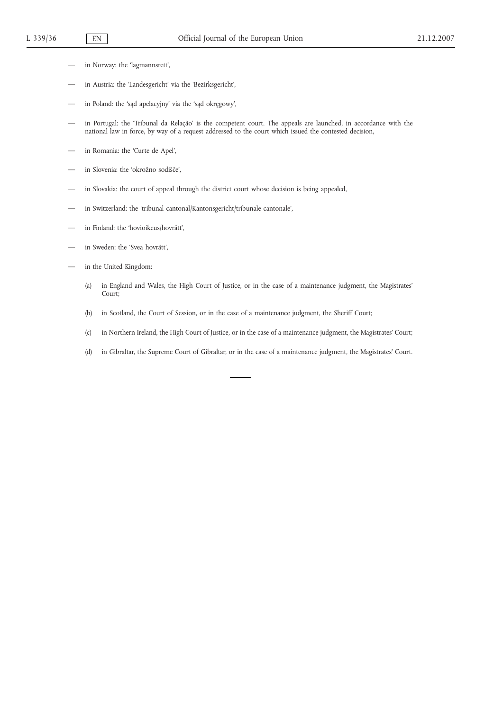- in Norway: the 'lagmannsrett',
- in Austria: the 'Landesgericht' via the 'Bezirksgericht',
- in Poland: the 'sąd apelacyjny' via the 'sąd okręgowy',
- in Portugal: the 'Tribunal da Relação' is the competent court. The appeals are launched, in accordance with the national law in force, by way of a request addressed to the court which issued the contested decision,
- in Romania: the 'Curte de Apel',
- in Slovenia: the 'okrožno sodišče',
- in Slovakia: the court of appeal through the district court whose decision is being appealed,
- in Switzerland: the 'tribunal cantonal/Kantonsgericht/tribunale cantonale',
- in Finland: the 'hovioikeus/hovrätt',
- in Sweden: the 'Svea hovrätt',
- in the United Kingdom:
	- (a) in England and Wales, the High Court of Justice, or in the case of a maintenance judgment, the Magistrates' Court;
	- (b) in Scotland, the Court of Session, or in the case of a maintenance judgment, the Sheriff Court;
	- (c) in Northern Ireland, the High Court of Justice, or in the case of a maintenance judgment, the Magistrates' Court;
	- (d) in Gibraltar, the Supreme Court of Gibraltar, or in the case of a maintenance judgment, the Magistrates' Court.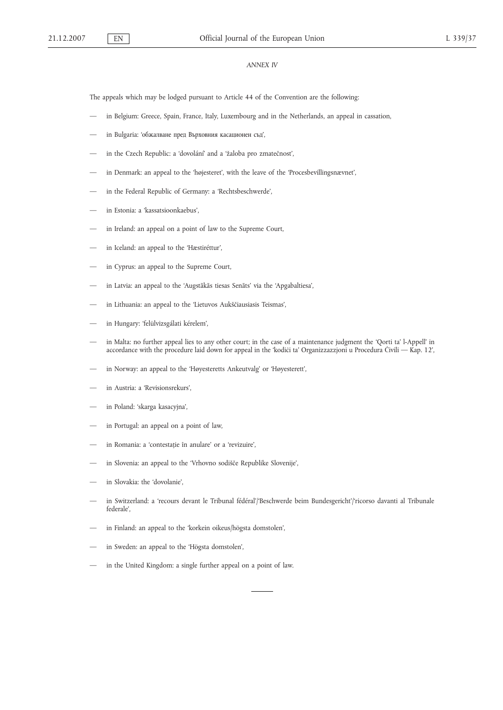#### *ANNEX IV*

The appeals which may be lodged pursuant to Article 44 of the Convention are the following:

- in Belgium: Greece, Spain, France, Italy, Luxembourg and in the Netherlands, an appeal in cassation,
- in Bulgaria: 'обжалване пред Върховния касационен съд',
- in the Czech Republic: a 'dovolání' and a 'žaloba pro zmatečnost',
- in Denmark: an appeal to the 'højesteret', with the leave of the 'Procesbevillingsnævnet',
- in the Federal Republic of Germany: a 'Rechtsbeschwerde',
- in Estonia: a 'kassatsioonkaebus',
- in Ireland: an appeal on a point of law to the Supreme Court,
- in Iceland: an appeal to the 'Hæstiréttur',
- in Cyprus: an appeal to the Supreme Court,
- in Latvia: an appeal to the 'Augstākās tiesas Senāts' via the 'Apgabaltiesa',
- in Lithuania: an appeal to the 'Lietuvos Aukščiausiasis Teismas',
- in Hungary: 'felülvizsgálati kérelem',
- in Malta: no further appeal lies to any other court; in the case of a maintenance judgment the 'Qorti ta' l-Appell' in accordance with the procedure laid down for appeal in the 'kodiċi ta' Organizzazzjoni u Procedura Civili — Kap. 12',
- in Norway: an appeal to the 'Høyesteretts Ankeutvalg' or 'Høyesterett',
- in Austria: a 'Revisionsrekurs',
- in Poland: 'skarga kasacyjna',
- in Portugal: an appeal on a point of law,
- in Romania: a 'contestaţie în anulare' or a 'revizuire',
- in Slovenia: an appeal to the 'Vrhovno sodišče Republike Slovenije',
- in Slovakia: the 'dovolanie',
- in Switzerland: a 'recours devant le Tribunal fédéral'/'Beschwerde beim Bundesgericht'/'ricorso davanti al Tribunale federale',
- in Finland: an appeal to the 'korkein oikeus/högsta domstolen',
- in Sweden: an appeal to the 'Högsta domstolen',
- in the United Kingdom: a single further appeal on a point of law.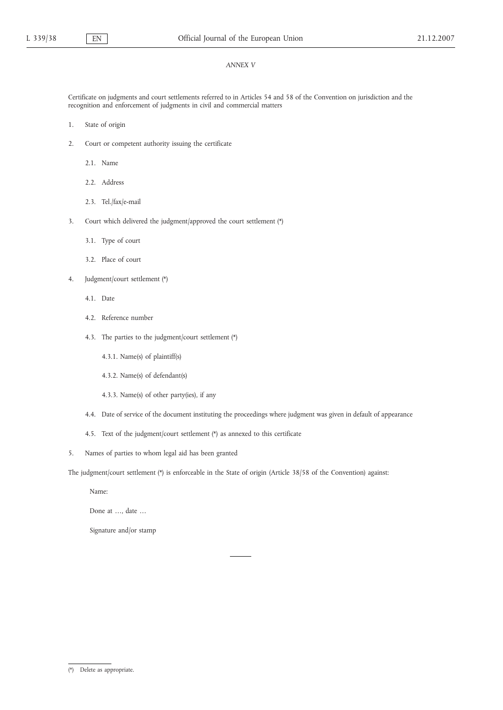#### *ANNEX V*

Certificate on judgments and court settlements referred to in Articles 54 and 58 of the Convention on jurisdiction and the recognition and enforcement of judgments in civil and commercial matters

- 1. State of origin
- 2. Court or competent authority issuing the certificate
	- 2.1. Name
	- 2.2. Address
	- 2.3. Tel./fax/e-mail
- 3. Court which delivered the judgment/approved the court settlement (\*)
	- 3.1. Type of court
	- 3.2. Place of court
- 4. Judgment/court settlement (\*)
	- 4.1. Date
	- 4.2. Reference number
	- 4.3. The parties to the judgment/court settlement (\*)
		- 4.3.1. Name(s) of plaintiff(s)
		- 4.3.2. Name(s) of defendant(s)
		- 4.3.3. Name(s) of other party(ies), if any
	- 4.4. Date of service of the document instituting the proceedings where judgment was given in default of appearance
	- 4.5. Text of the judgment/court settlement (\*) as annexed to this certificate
- 5. Names of parties to whom legal aid has been granted

The judgment/court settlement (\*) is enforceable in the State of origin (Article 38/58 of the Convention) against:

Name:

Done at …, date …

Signature and/or stamp

<sup>(\*)</sup> Delete as appropriate.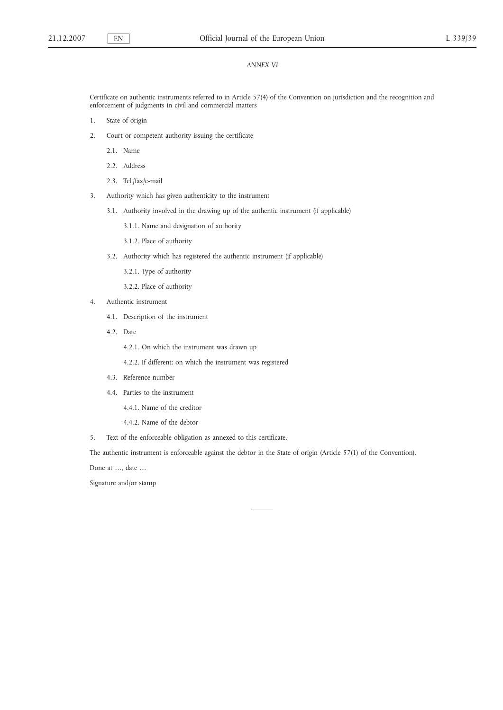#### *ANNEX VI*

Certificate on authentic instruments referred to in Article 57(4) of the Convention on jurisdiction and the recognition and enforcement of judgments in civil and commercial matters

- 1. State of origin
- 2. Court or competent authority issuing the certificate
	- 2.1. Name
	- 2.2. Address
	- 2.3. Tel./fax/e-mail
- 3. Authority which has given authenticity to the instrument
	- 3.1. Authority involved in the drawing up of the authentic instrument (if applicable)
		- 3.1.1. Name and designation of authority
		- 3.1.2. Place of authority
	- 3.2. Authority which has registered the authentic instrument (if applicable)
		- 3.2.1. Type of authority
		- 3.2.2. Place of authority
- 4. Authentic instrument
	- 4.1. Description of the instrument
	- 4.2. Date
		- 4.2.1. On which the instrument was drawn up
		- 4.2.2. If different: on which the instrument was registered
	- 4.3. Reference number
	- 4.4. Parties to the instrument
		- 4.4.1. Name of the creditor
		- 4.4.2. Name of the debtor
- 5. Text of the enforceable obligation as annexed to this certificate.

The authentic instrument is enforceable against the debtor in the State of origin (Article 57(1) of the Convention).

Done at …, date …

Signature and/or stamp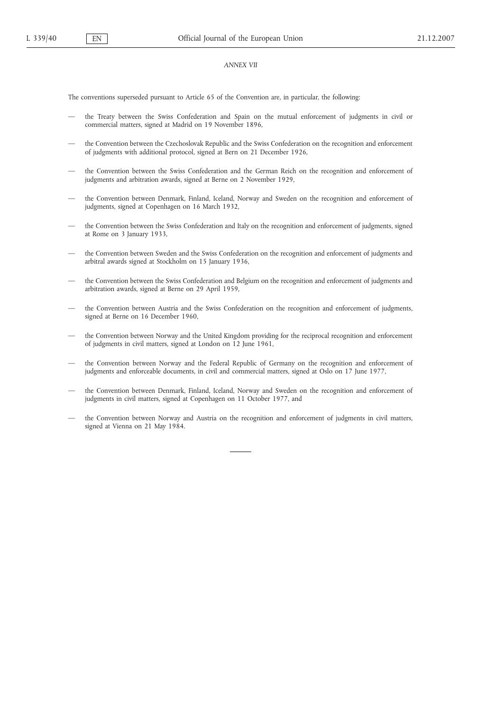#### *ANNEX VII*

The conventions superseded pursuant to Article 65 of the Convention are, in particular, the following:

- the Treaty between the Swiss Confederation and Spain on the mutual enforcement of judgments in civil or commercial matters, signed at Madrid on 19 November 1896,
- the Convention between the Czechoslovak Republic and the Swiss Confederation on the recognition and enforcement of judgments with additional protocol, signed at Bern on 21 December 1926,
- the Convention between the Swiss Confederation and the German Reich on the recognition and enforcement of judgments and arbitration awards, signed at Berne on 2 November 1929,
- the Convention between Denmark, Finland, Iceland, Norway and Sweden on the recognition and enforcement of judgments, signed at Copenhagen on 16 March 1932,
- the Convention between the Swiss Confederation and Italy on the recognition and enforcement of judgments, signed at Rome on 3 January 1933,
- the Convention between Sweden and the Swiss Confederation on the recognition and enforcement of judgments and arbitral awards signed at Stockholm on 15 January 1936,
- the Convention between the Swiss Confederation and Belgium on the recognition and enforcement of judgments and arbitration awards, signed at Berne on 29 April 1959,
- the Convention between Austria and the Swiss Confederation on the recognition and enforcement of judgments, signed at Berne on 16 December 1960,
- the Convention between Norway and the United Kingdom providing for the reciprocal recognition and enforcement of judgments in civil matters, signed at London on 12 June 1961,
- the Convention between Norway and the Federal Republic of Germany on the recognition and enforcement of judgments and enforceable documents, in civil and commercial matters, signed at Oslo on 17 June 1977,
- the Convention between Denmark, Finland, Iceland, Norway and Sweden on the recognition and enforcement of judgments in civil matters, signed at Copenhagen on 11 October 1977, and
- the Convention between Norway and Austria on the recognition and enforcement of judgments in civil matters, signed at Vienna on 21 May 1984.